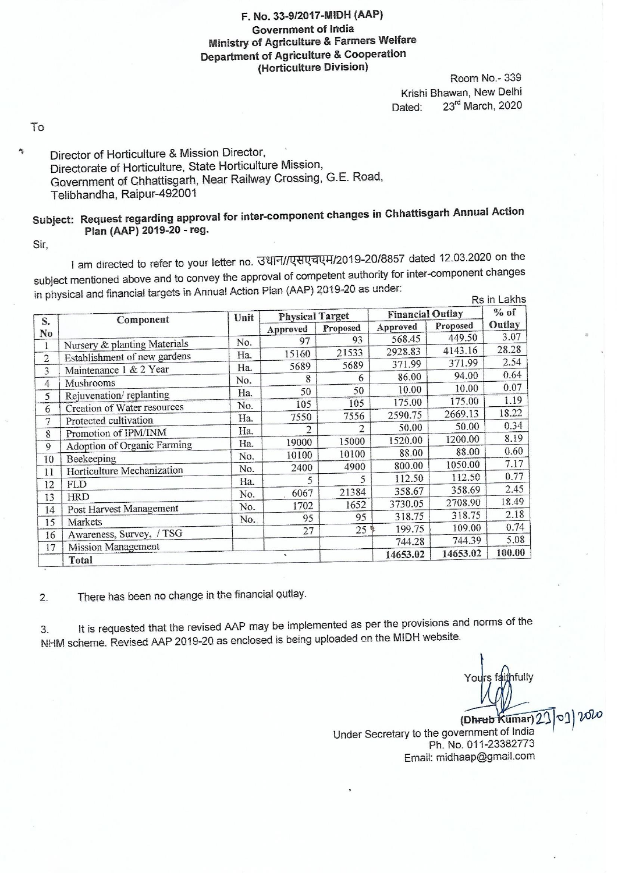## F. No. 33-9/2017-MIDH (AAP) **Government of India Ministry of Agriculture & Farmers Welfare Department of Agriculture & Cooperation** (Horticulture Division)

Room No. - 339 Krishi Bhawan, New Delhi 23rd March, 2020 Dated:

To

Ą,

## Director of Horticulture & Mission Director, Directorate of Horticulture, State Horticulture Mission, Government of Chhattisgarh, Near Railway Crossing, G.E. Road, Telibhandha, Raipur-492001

## Subject: Request regarding approval for inter-component changes in Chhattisgarh Annual Action Plan (AAP) 2019-20 - reg.

Sir,

1 am directed to refer to your letter no. उधान//एसएचएम/2019-20/8857 dated 12.03.2020 on the subject mentioned above and to convey the approval of competent authority for inter-component changes in physical and financial targets in Annual Action Plan (AAP) 2019-20 as under: Re in Lakhs

|                |                                          | Unit | <b>Physical Target</b> |          | <b>Financial Outlay</b> |          | $%$ of |
|----------------|------------------------------------------|------|------------------------|----------|-------------------------|----------|--------|
| S.             | Component                                |      | Approved               | Proposed | Approved                | Proposed | Outlay |
| No             | Nursery & planting Materials             | No.  | 97                     | 93       | 568.45                  | 449.50   | 3.07   |
|                | Establishment of new gardens             | Ha.  | 15160                  | 21533    | 2928.83                 | 4143.16  | 28.28  |
| $\overline{2}$ | Maintenance 1 & 2 Year                   | Ha.  | 5689                   | 5689     | 371.99                  | 371.99   | 2.54   |
| 3              |                                          | No.  | 8                      | 6        | 86.00                   | 94.00    | 0.64   |
| 4              | Mushrooms<br>Rejuvenation/replanting     | Ha.  | 50                     | 50       | 10.00                   | 10.00    | 0.07   |
| 5              | Creation of Water resources              | No.  | 105                    | 105      | 175.00                  | 175.00   | 1.19   |
| 6              | Protected cultivation                    | Ha.  | 7550                   | 7556     | 2590.75                 | 2669.13  | 18.22  |
| 7              | Promotion of IPM/INM                     | Ha.  | 2                      | 2        | 50.00                   | 50.00    | 0.34   |
| 8              | Adoption of Organic Farming              | Ha.  | 19000                  | 15000    | 1520.00                 | 1200.00  | 8.19   |
| 9              |                                          | No.  | 10100                  | 10100    | 88.00                   | 88.00    | 0.60   |
| 10             | Beekeeping<br>Horticulture Mechanization | No.  | 2400                   | 4900     | 800.00                  | 1050.00  | 7.17   |
| 11             |                                          | Ha.  | 5                      | 5        | 112.50                  | 112.50   | 0.77   |
| 12             | <b>FLD</b>                               | No.  | 6067                   | 21384    | 358.67                  | 358.69   | 2.45   |
| 13             | <b>HRD</b>                               | No.  | 1702                   | 1652     | 3730.05                 | 2708.90  | 18.49  |
| 14             | Post Harvest Management                  | No.  | 95                     | 95       | 318.75                  | 318.75   | 2.18   |
| 15             | Markets                                  |      | 27                     | $25$ \$  | 199.75                  | 109.00   | 0.74   |
| 16             | Awareness, Survey, / TSG                 |      |                        |          | 744.28                  | 744.39   | 5.08   |
| 17             | <b>Mission Management</b><br>Total       |      | $\sim$                 |          | 14653.02                | 14653.02 | 100.00 |

There has been no change in the financial outlay.  $2.$ 

It is requested that the revised AAP may be implemented as per the provisions and norms of the 3. NHM scheme. Revised AAP 2019-20 as enclosed is being uploaded on the MIDH website.

nfully

റി

(Dhrub Kumar) 2 Under Secretary to the government of India Ph. No. 011-23382773 Email: midhaap@gmail.com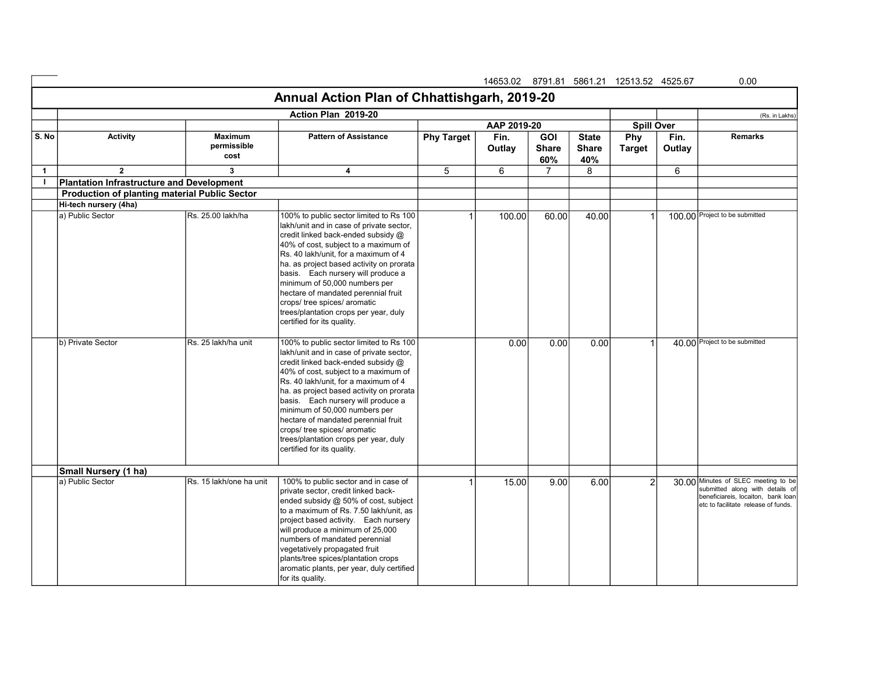|              |                                                      |                                       |                                                                                                                                                                                                                                                                                                                                                                                                                                                                            |                   | 14653.02 8791.81 5861.21 12513.52 4525.67 |                                   |                                     |                      |                | 0.00                                                                                                                                                 |
|--------------|------------------------------------------------------|---------------------------------------|----------------------------------------------------------------------------------------------------------------------------------------------------------------------------------------------------------------------------------------------------------------------------------------------------------------------------------------------------------------------------------------------------------------------------------------------------------------------------|-------------------|-------------------------------------------|-----------------------------------|-------------------------------------|----------------------|----------------|------------------------------------------------------------------------------------------------------------------------------------------------------|
|              |                                                      |                                       | Annual Action Plan of Chhattishgarh, 2019-20                                                                                                                                                                                                                                                                                                                                                                                                                               |                   |                                           |                                   |                                     |                      |                |                                                                                                                                                      |
|              |                                                      |                                       | Action Plan 2019-20                                                                                                                                                                                                                                                                                                                                                                                                                                                        |                   |                                           |                                   |                                     |                      |                | (Rs. in Lakhs)                                                                                                                                       |
|              |                                                      |                                       |                                                                                                                                                                                                                                                                                                                                                                                                                                                                            |                   | AAP 2019-20                               |                                   |                                     | <b>Spill Over</b>    |                |                                                                                                                                                      |
| S. No        | <b>Activity</b>                                      | <b>Maximum</b><br>permissible<br>cost | <b>Pattern of Assistance</b>                                                                                                                                                                                                                                                                                                                                                                                                                                               | <b>Phy Target</b> | Fin.<br>Outlay                            | <b>GOI</b><br><b>Share</b><br>60% | <b>State</b><br><b>Share</b><br>40% | Phy<br><b>Target</b> | Fin.<br>Outlay | <b>Remarks</b>                                                                                                                                       |
| $\mathbf{1}$ | $\overline{2}$                                       | 3                                     | 4                                                                                                                                                                                                                                                                                                                                                                                                                                                                          | 5                 | 6                                         | 7                                 | 8                                   |                      | 6              |                                                                                                                                                      |
| Τ.           | <b>Plantation Infrastructure and Development</b>     |                                       |                                                                                                                                                                                                                                                                                                                                                                                                                                                                            |                   |                                           |                                   |                                     |                      |                |                                                                                                                                                      |
|              | <b>Production of planting material Public Sector</b> |                                       |                                                                                                                                                                                                                                                                                                                                                                                                                                                                            |                   |                                           |                                   |                                     |                      |                |                                                                                                                                                      |
|              | Hi-tech nursery (4ha)                                |                                       |                                                                                                                                                                                                                                                                                                                                                                                                                                                                            |                   |                                           |                                   |                                     |                      |                |                                                                                                                                                      |
|              | a) Public Sector                                     | Rs. 25.00 lakh/ha                     | 100% to public sector limited to Rs 100<br>lakh/unit and in case of private sector,<br>credit linked back-ended subsidy @<br>40% of cost, subject to a maximum of<br>Rs. 40 lakh/unit, for a maximum of 4<br>ha. as project based activity on prorata<br>basis. Each nursery will produce a<br>minimum of 50,000 numbers per<br>hectare of mandated perennial fruit<br>crops/ tree spices/ aromatic<br>trees/plantation crops per year, duly<br>certified for its quality. |                   | 100.00                                    | 60.00                             | 40.00                               | $\mathbf{1}$         |                | 100.00 Project to be submitted                                                                                                                       |
|              | b) Private Sector                                    | Rs. 25 lakh/ha unit                   | 100% to public sector limited to Rs 100<br>lakh/unit and in case of private sector,<br>credit linked back-ended subsidy @<br>40% of cost, subject to a maximum of<br>Rs. 40 lakh/unit, for a maximum of 4<br>ha. as project based activity on prorata<br>basis. Each nursery will produce a<br>minimum of 50,000 numbers per<br>hectare of mandated perennial fruit<br>crops/ tree spices/ aromatic<br>trees/plantation crops per year, duly<br>certified for its quality. |                   | 0.00                                      | 0.00                              | 0.00                                | $\mathbf{1}$         |                | 40.00 Project to be submitted                                                                                                                        |
|              | Small Nursery (1 ha)                                 |                                       |                                                                                                                                                                                                                                                                                                                                                                                                                                                                            |                   |                                           |                                   |                                     |                      |                |                                                                                                                                                      |
|              | a) Public Sector                                     | IRs. 15 lakh/one ha unit              | 100% to public sector and in case of<br>private sector, credit linked back-<br>ended subsidy @ 50% of cost, subject<br>to a maximum of Rs. 7.50 lakh/unit, as<br>project based activity. Each nursery<br>will produce a minimum of 25,000<br>numbers of mandated perennial<br>vegetatively propagated fruit<br>plants/tree spices/plantation crops<br>aromatic plants, per year, duly certified<br>for its quality.                                                        |                   | 15.00                                     | 9.00                              | 6.00                                | $\overline{2}$       |                | 30.00 Minutes of SLEC meeting to be<br>submitted along with details of<br>beneficiareis, locaiton, bank loan<br>letc to facilitate release of funds. |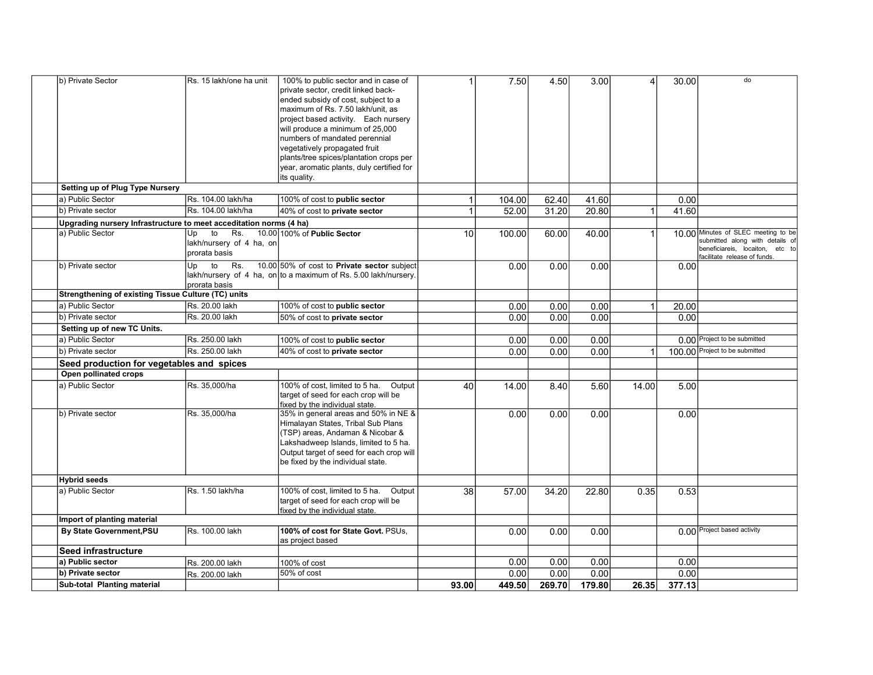| b) Private Sector                                                  | Rs. 15 lakh/one ha unit                                      | 100% to public sector and in case of<br>private sector, credit linked back-<br>ended subsidy of cost, subject to a<br>maximum of Rs. 7.50 lakh/unit, as<br>project based activity. Each nursery<br>will produce a minimum of 25,000<br>numbers of mandated perennial<br>vegetatively propagated fruit<br>plants/tree spices/plantation crops per<br>year, aromatic plants, duly certified for<br>its quality. |       | 7.50   | 4.50   | 3.00   | 4              | 30.00  | do                                                                                                                                        |
|--------------------------------------------------------------------|--------------------------------------------------------------|---------------------------------------------------------------------------------------------------------------------------------------------------------------------------------------------------------------------------------------------------------------------------------------------------------------------------------------------------------------------------------------------------------------|-------|--------|--------|--------|----------------|--------|-------------------------------------------------------------------------------------------------------------------------------------------|
| Setting up of Plug Type Nursery                                    |                                                              |                                                                                                                                                                                                                                                                                                                                                                                                               |       |        |        |        |                |        |                                                                                                                                           |
| a) Public Sector                                                   | Rs. 104.00 lakh/ha                                           | 100% of cost to public sector                                                                                                                                                                                                                                                                                                                                                                                 | 1     | 104.00 | 62.40  | 41.60  |                | 0.00   |                                                                                                                                           |
| b) Private sector                                                  | Rs. 104.00 lakh/ha                                           | 40% of cost to private sector                                                                                                                                                                                                                                                                                                                                                                                 | 1     | 52.00  | 31.20  | 20.80  |                | 41.60  |                                                                                                                                           |
| Upgrading nursery Infrastructure to meet acceditation norms (4 ha) |                                                              |                                                                                                                                                                                                                                                                                                                                                                                                               |       |        |        |        |                |        |                                                                                                                                           |
| a) Public Sector                                                   | to<br>Rs.<br>Up<br>lakh/nursery of 4 ha, on<br>prorata basis | 10.00 100% of Public Sector                                                                                                                                                                                                                                                                                                                                                                                   | 10    | 100.00 | 60.00  | 40.00  | 1              |        | 10.00 Minutes of SLEC meeting to be<br>submitted along with details of<br>beneficiareis, locaiton, etc to<br>facilitate release of funds. |
| b) Private sector                                                  | to<br>Rs.<br>Up<br>prorata basis                             | 10.00 50% of cost to Private sector subject<br>lakh/nursery of 4 ha, on to a maximum of Rs. 5.00 lakh/nursery.                                                                                                                                                                                                                                                                                                |       | 0.00   | 0.00   | 0.00   |                | 0.00   |                                                                                                                                           |
| Strengthening of existing Tissue Culture (TC) units                |                                                              |                                                                                                                                                                                                                                                                                                                                                                                                               |       |        |        |        |                |        |                                                                                                                                           |
| a) Public Sector                                                   | Rs. 20.00 lakh                                               | 100% of cost to public sector                                                                                                                                                                                                                                                                                                                                                                                 |       | 0.00   | 0.00   | 0.00   | $\mathbf{1}$   | 20.00  |                                                                                                                                           |
| b) Private sector                                                  | Rs. 20.00 lakh                                               | 50% of cost to private sector                                                                                                                                                                                                                                                                                                                                                                                 |       | 0.00   | 0.00   | 0.00   |                | 0.00   |                                                                                                                                           |
| Setting up of new TC Units.                                        |                                                              |                                                                                                                                                                                                                                                                                                                                                                                                               |       |        |        |        |                |        |                                                                                                                                           |
| a) Public Sector                                                   | Rs. 250.00 lakh                                              | 100% of cost to public sector                                                                                                                                                                                                                                                                                                                                                                                 |       | 0.00   | 0.00   | 0.00   |                |        | 0.00 Project to be submitted                                                                                                              |
| b) Private sector                                                  | Rs. 250.00 lakh                                              | 40% of cost to private sector                                                                                                                                                                                                                                                                                                                                                                                 |       | 0.00   | 0.00   | 0.00   | $\overline{1}$ |        | 100.00 Project to be submitted                                                                                                            |
| Seed production for vegetables and spices                          |                                                              |                                                                                                                                                                                                                                                                                                                                                                                                               |       |        |        |        |                |        |                                                                                                                                           |
| Open pollinated crops<br>a) Public Sector                          | Rs. 35,000/ha                                                | 100% of cost, limited to 5 ha.<br>Output                                                                                                                                                                                                                                                                                                                                                                      |       |        |        |        |                |        |                                                                                                                                           |
|                                                                    |                                                              | target of seed for each crop will be<br>fixed by the individual state.                                                                                                                                                                                                                                                                                                                                        | 40    | 14.00  | 8.40   | 5.60   | 14.00          | 5.00   |                                                                                                                                           |
| b) Private sector                                                  | Rs. 35,000/ha                                                | 35% in general areas and 50% in NE &<br>Himalayan States, Tribal Sub Plans<br>(TSP) areas, Andaman & Nicobar &<br>Lakshadweep Islands, limited to 5 ha.<br>Output target of seed for each crop will<br>be fixed by the individual state.                                                                                                                                                                      |       | 0.00   | 0.00   | 0.00   |                | 0.00   |                                                                                                                                           |
| <b>Hybrid seeds</b>                                                |                                                              |                                                                                                                                                                                                                                                                                                                                                                                                               |       |        |        |        |                |        |                                                                                                                                           |
| a) Public Sector                                                   | Rs. 1.50 lakh/ha                                             | 100% of cost, limited to 5 ha.<br>Output<br>target of seed for each crop will be<br>fixed by the individual state.                                                                                                                                                                                                                                                                                            | 38    | 57.00  | 34.20  | 22.80  | 0.35           | 0.53   |                                                                                                                                           |
| Import of planting material                                        |                                                              |                                                                                                                                                                                                                                                                                                                                                                                                               |       |        |        |        |                |        |                                                                                                                                           |
| By State Government, PSU                                           | Rs. 100.00 lakh                                              | 100% of cost for State Govt. PSUs.<br>as project based                                                                                                                                                                                                                                                                                                                                                        |       | 0.00   | 0.00   | 0.00   |                |        | 0.00 Project based activity                                                                                                               |
| Seed infrastructure                                                |                                                              |                                                                                                                                                                                                                                                                                                                                                                                                               |       |        |        |        |                |        |                                                                                                                                           |
| a) Public sector                                                   | Rs. 200.00 lakh                                              | 100% of cost                                                                                                                                                                                                                                                                                                                                                                                                  |       | 0.00   | 0.00   | 0.00   |                | 0.00   |                                                                                                                                           |
| b) Private sector                                                  | Rs. 200.00 lakh                                              | 50% of cost                                                                                                                                                                                                                                                                                                                                                                                                   |       | 0.00   | 0.00   | 0.00   |                | 0.00   |                                                                                                                                           |
| Sub-total Planting material                                        |                                                              |                                                                                                                                                                                                                                                                                                                                                                                                               | 93.00 | 449.50 | 269.70 | 179.80 | 26.35          | 377.13 |                                                                                                                                           |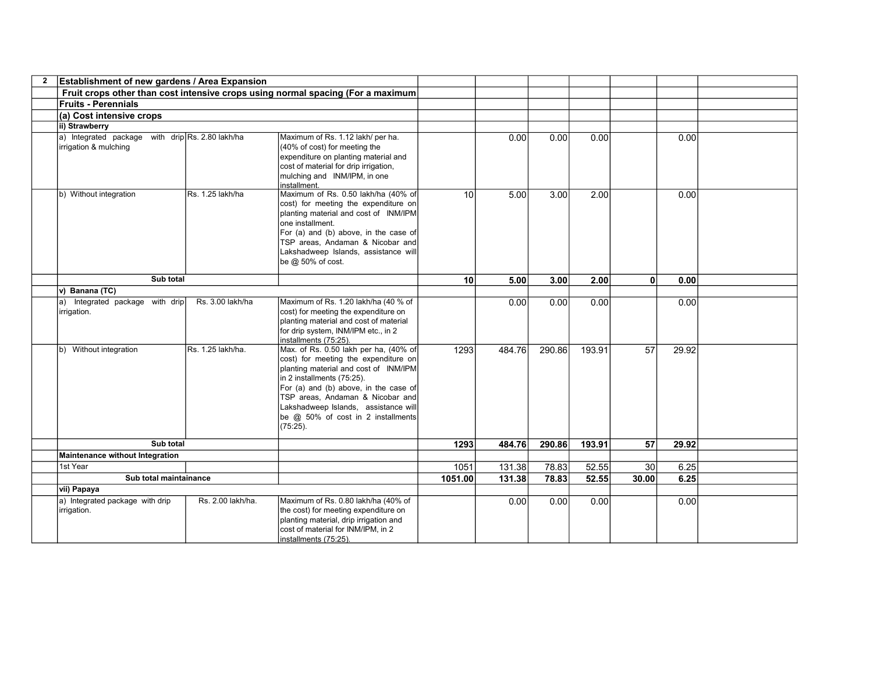| $\mathbf{2}$ | Establishment of new gardens / Area Expansion                             |                   |                                                                                                                                                                                                                                                                                                                                |                 |        |        |        |                 |       |  |
|--------------|---------------------------------------------------------------------------|-------------------|--------------------------------------------------------------------------------------------------------------------------------------------------------------------------------------------------------------------------------------------------------------------------------------------------------------------------------|-----------------|--------|--------|--------|-----------------|-------|--|
|              |                                                                           |                   | Fruit crops other than cost intensive crops using normal spacing (For a maximum                                                                                                                                                                                                                                                |                 |        |        |        |                 |       |  |
|              | <b>Fruits - Perennials</b>                                                |                   |                                                                                                                                                                                                                                                                                                                                |                 |        |        |        |                 |       |  |
|              | (a) Cost intensive crops                                                  |                   |                                                                                                                                                                                                                                                                                                                                |                 |        |        |        |                 |       |  |
|              | ii) Strawberry                                                            |                   |                                                                                                                                                                                                                                                                                                                                |                 |        |        |        |                 |       |  |
|              | a) Integrated package with drip Rs. 2.80 lakh/ha<br>irrigation & mulching |                   | Maximum of Rs. 1.12 lakh/ per ha.<br>(40% of cost) for meeting the<br>expenditure on planting material and<br>cost of material for drip irrigation,<br>mulching and INM/IPM, in one<br>installment.                                                                                                                            |                 | 0.00   | 0.00   | 0.00   |                 | 0.00  |  |
|              | b) Without integration                                                    | Rs. 1.25 lakh/ha  | Maximum of Rs. 0.50 lakh/ha (40% of<br>cost) for meeting the expenditure on<br>planting material and cost of INM/IPM<br>one installment.<br>For (a) and (b) above, in the case of<br>TSP areas, Andaman & Nicobar and<br>Lakshadweep Islands, assistance will<br>be @ 50% of cost.                                             | 10              | 5.00   | 3.00   | 2.00   |                 | 0.00  |  |
|              | Sub total                                                                 |                   |                                                                                                                                                                                                                                                                                                                                | 10 <sup>1</sup> | 5.00   | 3.00   | 2.00   | $\mathbf{0}$    | 0.00  |  |
|              | v) Banana (TC)                                                            |                   |                                                                                                                                                                                                                                                                                                                                |                 |        |        |        |                 |       |  |
|              | a) Integrated package with drip<br>irrigation.                            | Rs. 3.00 lakh/ha  | Maximum of Rs. 1.20 lakh/ha (40 % of<br>cost) for meeting the expenditure on<br>planting material and cost of material<br>for drip system, INM/IPM etc., in 2<br>installments (75:25).                                                                                                                                         |                 | 0.00   | 0.00   | 0.00   |                 | 0.00  |  |
|              | b) Without integration                                                    | Rs. 1.25 lakh/ha. | Max. of Rs. 0.50 lakh per ha, (40% of<br>cost) for meeting the expenditure on<br>planting material and cost of INM/IPM<br>in 2 installments (75:25).<br>For (a) and (b) above, in the case of<br>TSP areas, Andaman & Nicobar and<br>Lakshadweep Islands, assistance will<br>be @ 50% of cost in 2 installments<br>$(75:25)$ . | 1293            | 484.76 | 290.86 | 193.91 | 57              | 29.92 |  |
|              | Sub total                                                                 |                   |                                                                                                                                                                                                                                                                                                                                | 1293            | 484.76 | 290.86 | 193.91 | 57              | 29.92 |  |
|              | Maintenance without Integration                                           |                   |                                                                                                                                                                                                                                                                                                                                |                 |        |        |        |                 |       |  |
|              | 1st Year                                                                  |                   |                                                                                                                                                                                                                                                                                                                                | 1051            | 131.38 | 78.83  | 52.55  | 30 <sup>°</sup> | 6.25  |  |
|              | Sub total maintainance                                                    |                   |                                                                                                                                                                                                                                                                                                                                | 1051.00         | 131.38 | 78.83  | 52.55  | 30.00           | 6.25  |  |
|              | vii) Papaya                                                               |                   |                                                                                                                                                                                                                                                                                                                                |                 |        |        |        |                 |       |  |
|              | a) Integrated package with drip<br>irrigation.                            | Rs. 2.00 lakh/ha. | Maximum of Rs. 0.80 lakh/ha (40% of<br>the cost) for meeting expenditure on<br>planting material, drip irrigation and<br>cost of material for INM/IPM, in 2<br>installments (75:25).                                                                                                                                           |                 | 0.00   | 0.00   | 0.00   |                 | 0.00  |  |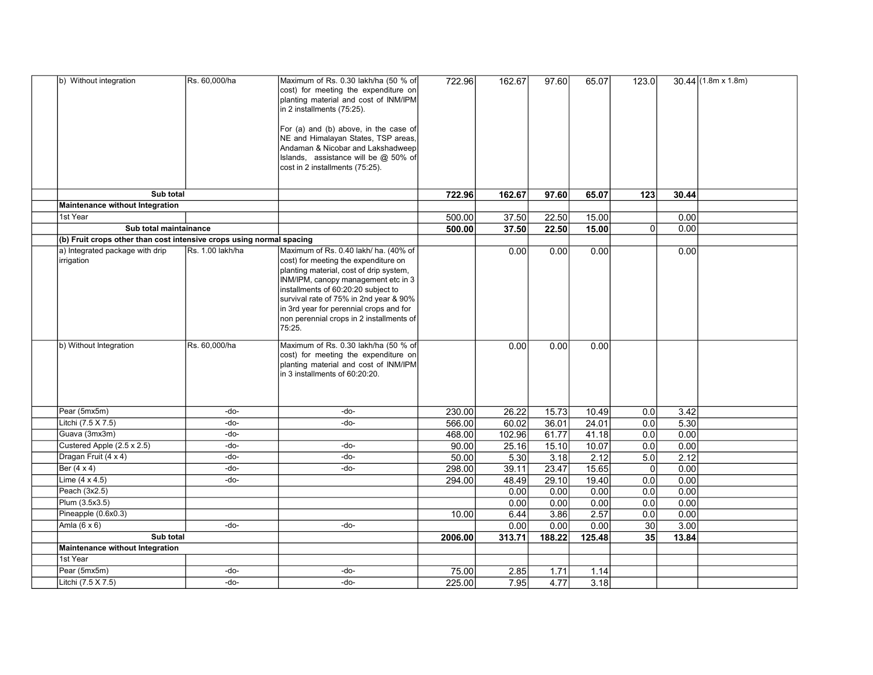| b) Without integration                                               | Rs. 60,000/ha    | Maximum of Rs. 0.30 lakh/ha (50 % of<br>cost) for meeting the expenditure on<br>planting material and cost of INM/IPM<br>in 2 installments (75:25). | 722.96  | 162.67 | 97.60  | 65.07  | 123.0            |       | $30.44$ (1.8m x 1.8m) |
|----------------------------------------------------------------------|------------------|-----------------------------------------------------------------------------------------------------------------------------------------------------|---------|--------|--------|--------|------------------|-------|-----------------------|
|                                                                      |                  | For (a) and (b) above, in the case of                                                                                                               |         |        |        |        |                  |       |                       |
|                                                                      |                  | NE and Himalayan States, TSP areas,                                                                                                                 |         |        |        |        |                  |       |                       |
|                                                                      |                  | Andaman & Nicobar and Lakshadweep<br>Islands, assistance will be @ 50% of                                                                           |         |        |        |        |                  |       |                       |
|                                                                      |                  | cost in 2 installments (75:25).                                                                                                                     |         |        |        |        |                  |       |                       |
|                                                                      |                  |                                                                                                                                                     |         |        |        |        |                  |       |                       |
| Sub total                                                            |                  |                                                                                                                                                     | 722.96  | 162.67 | 97.60  | 65.07  | 123              | 30.44 |                       |
| Maintenance without Integration                                      |                  |                                                                                                                                                     |         |        |        |        |                  |       |                       |
| 1st Year                                                             |                  |                                                                                                                                                     | 500.00  | 37.50  | 22.50  | 15.00  |                  | 0.00  |                       |
| Sub total maintainance                                               |                  |                                                                                                                                                     | 500.00  | 37.50  | 22.50  | 15.00  | $\overline{0}$   | 0.00  |                       |
| (b) Fruit crops other than cost intensive crops using normal spacing |                  |                                                                                                                                                     |         |        |        |        |                  |       |                       |
| a) Integrated package with drip                                      | Rs. 1.00 lakh/ha | Maximum of Rs. 0.40 lakh/ ha. (40% of                                                                                                               |         | 0.00   | 0.00   | 0.00   |                  | 0.00  |                       |
| irrigation                                                           |                  | cost) for meeting the expenditure on<br>planting material, cost of drip system,                                                                     |         |        |        |        |                  |       |                       |
|                                                                      |                  | INM/IPM, canopy management etc in 3                                                                                                                 |         |        |        |        |                  |       |                       |
|                                                                      |                  | installments of 60:20:20 subject to                                                                                                                 |         |        |        |        |                  |       |                       |
|                                                                      |                  | survival rate of 75% in 2nd year & 90%                                                                                                              |         |        |        |        |                  |       |                       |
|                                                                      |                  | in 3rd year for perennial crops and for<br>non perennial crops in 2 installments of                                                                 |         |        |        |        |                  |       |                       |
|                                                                      |                  | 75:25.                                                                                                                                              |         |        |        |        |                  |       |                       |
|                                                                      |                  |                                                                                                                                                     |         |        |        |        |                  |       |                       |
| b) Without Integration                                               | Rs. 60,000/ha    | Maximum of Rs. 0.30 lakh/ha (50 % of                                                                                                                |         | 0.00   | 0.00   | 0.00   |                  |       |                       |
|                                                                      |                  | cost) for meeting the expenditure on<br>planting material and cost of INM/IPM                                                                       |         |        |        |        |                  |       |                       |
|                                                                      |                  | in 3 installments of 60:20:20.                                                                                                                      |         |        |        |        |                  |       |                       |
|                                                                      |                  |                                                                                                                                                     |         |        |        |        |                  |       |                       |
|                                                                      |                  |                                                                                                                                                     |         |        |        |        |                  |       |                       |
| Pear (5mx5m)                                                         | -do-             | -do-                                                                                                                                                | 230.00  | 26.22  | 15.73  | 10.49  | 0.0              | 3.42  |                       |
| Litchi (7.5 X 7.5)                                                   | -do-             | -do-                                                                                                                                                | 566.00  | 60.02  | 36.01  | 24.01  | 0.0              | 5.30  |                       |
| Guava (3mx3m)                                                        | -do-             |                                                                                                                                                     | 468.00  | 102.96 | 61.77  | 41.18  | 0.0              | 0.00  |                       |
| Custered Apple (2.5 x 2.5)                                           | -do-             | -do-                                                                                                                                                | 90.00   | 25.16  | 15.10  | 10.07  | $\overline{0.0}$ | 0.00  |                       |
| Dragan Fruit (4 x 4)                                                 | -do-             | -do-                                                                                                                                                | 50.00   | 5.30   | 3.18   | 2.12   | 5.0              | 2.12  |                       |
| Ber (4 x 4)                                                          | -do-             | -do-                                                                                                                                                | 298.00  | 39.11  | 23.47  | 15.65  | $\overline{0}$   | 0.00  |                       |
| Lime $(4 \times 4.5)$                                                | -do-             |                                                                                                                                                     | 294.00  | 48.49  | 29.10  | 19.40  | 0.0              | 0.00  |                       |
| Peach (3x2.5)                                                        |                  |                                                                                                                                                     |         | 0.00   | 0.00   | 0.00   | 0.0              | 0.00  |                       |
| Plum (3.5x3.5)                                                       |                  |                                                                                                                                                     |         | 0.00   | 0.00   | 0.00   | 0.0              | 0.00  |                       |
| Pineapple (0.6x0.3)                                                  |                  |                                                                                                                                                     | 10.00   | 6.44   | 3.86   | 2.57   | $\overline{0.0}$ | 0.00  |                       |
| Amla $(6 \times 6)$<br>Sub total                                     | -do-             | -do-                                                                                                                                                |         | 0.00   | 0.00   | 0.00   | 30               | 3.00  |                       |
|                                                                      |                  |                                                                                                                                                     | 2006.00 | 313.71 | 188.22 | 125.48 | 35               | 13.84 |                       |
| <b>Maintenance without Integration</b><br>1st Year                   |                  |                                                                                                                                                     |         |        |        |        |                  |       |                       |
| Pear (5mx5m)                                                         | -do-             | -do-                                                                                                                                                | 75.00   | 2.85   | 1.71   | 1.14   |                  |       |                       |
| Litchi (7.5 X 7.5)                                                   | -do-             | -do-                                                                                                                                                | 225.00  | 7.95   | 4.77   | 3.18   |                  |       |                       |
|                                                                      |                  |                                                                                                                                                     |         |        |        |        |                  |       |                       |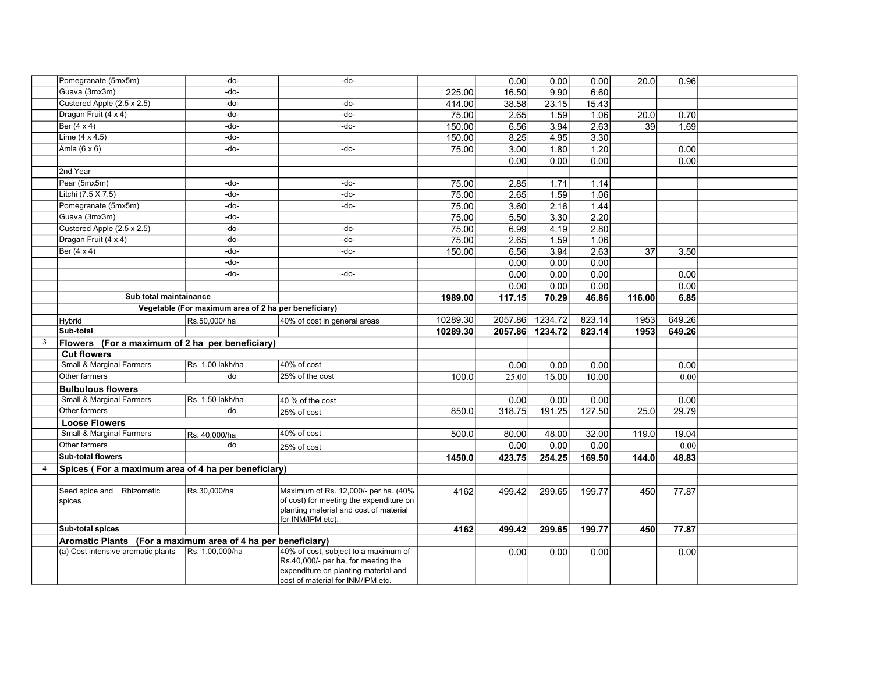|                | Pomegranate (5mx5m)                                          | -do-                                                 | -do-                                                                              |          | 0.00    | 0.00    | 0.00   | 20.0            | 0.96   |  |
|----------------|--------------------------------------------------------------|------------------------------------------------------|-----------------------------------------------------------------------------------|----------|---------|---------|--------|-----------------|--------|--|
|                | Guava (3mx3m)                                                | -do-                                                 |                                                                                   | 225.00   | 16.50   | 9.90    | 6.60   |                 |        |  |
|                | Custered Apple (2.5 x 2.5)                                   | -do-                                                 | -do-                                                                              | 414.00   | 38.58   | 23.15   | 15.43  |                 |        |  |
|                | Dragan Fruit (4 x 4)                                         | -do-                                                 | -do-                                                                              | 75.00    | 2.65    | 1.59    | 1.06   | 20.0            | 0.70   |  |
|                | Ber $(4 \times 4)$                                           | -do-                                                 | -do-                                                                              | 150.00   | 6.56    | 3.94    | 2.63   | 39              | 1.69   |  |
|                | Lime $(4 \times 4.5)$                                        | -do-                                                 |                                                                                   | 150.00   | 8.25    | 4.95    | 3.30   |                 |        |  |
|                | Amla $(6 \times 6)$                                          | -do-                                                 | -do-                                                                              | 75.00    | 3.00    | 1.80    | 1.20   |                 | 0.00   |  |
|                |                                                              |                                                      |                                                                                   |          | 0.00    | 0.00    | 0.00   |                 | 0.00   |  |
|                | 2nd Year                                                     |                                                      |                                                                                   |          |         |         |        |                 |        |  |
|                | Pear (5mx5m)                                                 | -do-                                                 | -do-                                                                              | 75.00    | 2.85    | 1.71    | 1.14   |                 |        |  |
|                | Litchi (7.5 X 7.5)                                           | -do-                                                 | -do-                                                                              | 75.00    | 2.65    | 1.59    | 1.06   |                 |        |  |
|                | Pomegranate (5mx5m)                                          | -do-                                                 | -do-                                                                              | 75.00    | 3.60    | 2.16    | 1.44   |                 |        |  |
|                | Guava (3mx3m)                                                | -do-                                                 |                                                                                   | 75.00    | 5.50    | 3.30    | 2.20   |                 |        |  |
|                | Custered Apple (2.5 x 2.5)                                   | -do-                                                 | -do-                                                                              | 75.00    | 6.99    | 4.19    | 2.80   |                 |        |  |
|                | Dragan Fruit (4 x 4)                                         | -do-                                                 | -do-                                                                              | 75.00    | 2.65    | 1.59    | 1.06   |                 |        |  |
|                | Ber $(4 \times 4)$                                           | -do-                                                 | -do-                                                                              | 150.00   | 6.56    | 3.94    | 2.63   | $\overline{37}$ | 3.50   |  |
|                |                                                              | -do-                                                 |                                                                                   |          | 0.00    | 0.00    | 0.00   |                 |        |  |
|                |                                                              | -do-                                                 | -do-                                                                              |          | 0.00    | 0.00    | 0.00   |                 | 0.00   |  |
|                |                                                              |                                                      |                                                                                   |          | 0.00    | 0.00    | 0.00   |                 | 0.00   |  |
|                | Sub total maintainance                                       |                                                      |                                                                                   | 1989.00  | 117.15  | 70.29   | 46.86  | 116.00          | 6.85   |  |
|                |                                                              | Vegetable (For maximum area of 2 ha per beneficiary) |                                                                                   |          |         |         |        |                 |        |  |
|                | Hybrid                                                       | Rs.50,000/ha                                         | 40% of cost in general areas                                                      | 10289.30 | 2057.86 | 1234.72 | 823.14 | 1953            | 649.26 |  |
|                | Sub-total                                                    |                                                      |                                                                                   | 10289.30 | 2057.86 | 1234.72 | 823.14 | 1953            | 649.26 |  |
| $\mathbf{3}$   | Flowers (For a maximum of 2 ha per beneficiary)              |                                                      |                                                                                   |          |         |         |        |                 |        |  |
|                | <b>Cut flowers</b>                                           |                                                      |                                                                                   |          |         |         |        |                 |        |  |
|                | Small & Marginal Farmers                                     | Rs. 1.00 lakh/ha                                     | 40% of cost                                                                       |          | 0.00    | 0.00    | 0.00   |                 | 0.00   |  |
|                | Other farmers                                                | do                                                   | 25% of the cost                                                                   | 100.0    | 25.00   | 15.00   | 10.00  |                 | 0.00   |  |
|                | <b>Bulbulous flowers</b>                                     |                                                      |                                                                                   |          |         |         |        |                 |        |  |
|                | Small & Marginal Farmers                                     | Rs. 1.50 lakh/ha                                     | 40 % of the cost                                                                  |          | 0.00    | 0.00    | 0.00   |                 | 0.00   |  |
|                | Other farmers                                                | do                                                   | 25% of cost                                                                       | 850.0    | 318.75  | 191.25  | 127.50 | 25.0            | 29.79  |  |
|                | <b>Loose Flowers</b>                                         |                                                      |                                                                                   |          |         |         |        |                 |        |  |
|                | Small & Marginal Farmers                                     | Rs. 40,000/ha                                        | 40% of cost                                                                       | 500.0    | 80.00   | 48.00   | 32.00  | 119.0           | 19.04  |  |
|                | Other farmers                                                | do                                                   | 25% of cost                                                                       |          | 0.00    | 0.00    | 0.00   |                 | 0.00   |  |
|                | <b>Sub-total flowers</b>                                     |                                                      |                                                                                   | 1450.0   | 423.75  | 254.25  | 169.50 | 144.0           | 48.83  |  |
| $\overline{4}$ | Spices (For a maximum area of 4 ha per beneficiary)          |                                                      |                                                                                   |          |         |         |        |                 |        |  |
|                |                                                              |                                                      |                                                                                   |          |         |         |        |                 |        |  |
|                | Seed spice and Rhizomatic                                    | Rs.30,000/ha                                         | Maximum of Rs. 12,000/- per ha. (40%                                              | 4162     | 499.42  | 299.65  | 199.77 | 450             | 77.87  |  |
|                | spices                                                       |                                                      | of cost) for meeting the expenditure on<br>planting material and cost of material |          |         |         |        |                 |        |  |
|                | Sub-total spices                                             |                                                      | for INM/IPM etc).                                                                 | 4162     | 499.42  | 299.65  | 199.77 | 450             | 77.87  |  |
|                | Aromatic Plants (For a maximum area of 4 ha per beneficiary) |                                                      |                                                                                   |          |         |         |        |                 |        |  |
|                | (a) Cost intensive aromatic plants                           | Rs. 1,00,000/ha                                      | 40% of cost, subject to a maximum of                                              |          | 0.00    | 0.00    | 0.001  |                 | 0.00   |  |
|                |                                                              |                                                      | Rs.40,000/- per ha, for meeting the                                               |          |         |         |        |                 |        |  |
|                |                                                              |                                                      | expenditure on planting material and<br>cost of material for INM/IPM etc.         |          |         |         |        |                 |        |  |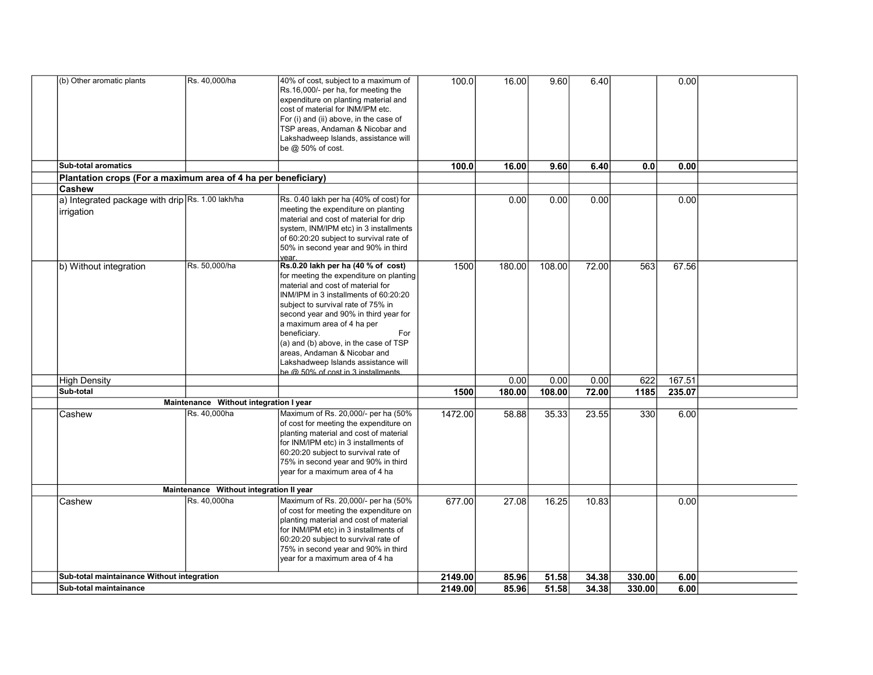| (b) Other aromatic plants                                      | Rs. 40,000/ha                           | 40% of cost, subject to a maximum of<br>Rs.16,000/- per ha, for meeting the<br>expenditure on planting material and<br>cost of material for INM/IPM etc.<br>For (i) and (ii) above, in the case of<br>TSP areas, Andaman & Nicobar and<br>Lakshadweep Islands, assistance will<br>be @ 50% of cost.                                                                                                                                                   | 100.0   | 16.00  | 9.60   | 6.40  |        | 0.00   |  |
|----------------------------------------------------------------|-----------------------------------------|-------------------------------------------------------------------------------------------------------------------------------------------------------------------------------------------------------------------------------------------------------------------------------------------------------------------------------------------------------------------------------------------------------------------------------------------------------|---------|--------|--------|-------|--------|--------|--|
| <b>Sub-total aromatics</b>                                     |                                         |                                                                                                                                                                                                                                                                                                                                                                                                                                                       | 100.0   | 16.00  | 9.60   | 6.40  | 0.0    | 0.00   |  |
| Plantation crops (For a maximum area of 4 ha per beneficiary)  |                                         |                                                                                                                                                                                                                                                                                                                                                                                                                                                       |         |        |        |       |        |        |  |
| Cashew                                                         |                                         |                                                                                                                                                                                                                                                                                                                                                                                                                                                       |         |        |        |       |        |        |  |
| a) Integrated package with drip Rs. 1.00 lakh/ha<br>irrigation |                                         | Rs. 0.40 lakh per ha (40% of cost) for<br>meeting the expenditure on planting<br>material and cost of material for drip<br>system, INM/IPM etc) in 3 installments<br>of 60:20:20 subject to survival rate of<br>50% in second year and 90% in third<br>vear.                                                                                                                                                                                          |         | 0.00   | 0.00   | 0.00  |        | 0.00   |  |
| b) Without integration                                         | Rs. 50,000/ha                           | Rs.0.20 lakh per ha (40 % of cost)<br>for meeting the expenditure on planting<br>material and cost of material for<br>INM/IPM in 3 installments of 60:20:20<br>subject to survival rate of 75% in<br>second year and 90% in third year for<br>a maximum area of 4 ha per<br>beneficiary.<br>For<br>(a) and (b) above, in the case of TSP<br>areas, Andaman & Nicobar and<br>Lakshadweep Islands assistance will<br>be @ 50% of cost in 3 installments | 1500    | 180.00 | 108.00 | 72.00 | 563    | 67.56  |  |
| High Density                                                   |                                         |                                                                                                                                                                                                                                                                                                                                                                                                                                                       |         | 0.00   | 0.00   | 0.00  | 622    | 167.51 |  |
| Sub-total                                                      |                                         |                                                                                                                                                                                                                                                                                                                                                                                                                                                       | 1500    | 180.00 | 108.00 | 72.00 | 1185   | 235.07 |  |
|                                                                | Maintenance Without integration I year  |                                                                                                                                                                                                                                                                                                                                                                                                                                                       |         |        |        |       |        |        |  |
| Cashew                                                         | Rs. 40,000ha                            | Maximum of Rs. 20,000/- per ha (50%<br>of cost for meeting the expenditure on<br>planting material and cost of material<br>for INM/IPM etc) in 3 installments of<br>60:20:20 subject to survival rate of<br>75% in second year and 90% in third<br>year for a maximum area of 4 ha                                                                                                                                                                    | 1472.00 | 58.88  | 35.33  | 23.55 | 330    | 6.00   |  |
|                                                                | Maintenance Without integration II year |                                                                                                                                                                                                                                                                                                                                                                                                                                                       |         |        |        |       |        |        |  |
| Cashew                                                         | Rs. 40,000ha                            | Maximum of Rs. 20,000/- per ha (50%<br>of cost for meeting the expenditure on<br>planting material and cost of material<br>for INM/IPM etc) in 3 installments of<br>60:20:20 subject to survival rate of<br>75% in second year and 90% in third<br>year for a maximum area of 4 ha                                                                                                                                                                    | 677.00  | 27.08  | 16.25  | 10.83 |        | 0.00   |  |
| Sub-total maintainance Without integration                     |                                         |                                                                                                                                                                                                                                                                                                                                                                                                                                                       | 2149.00 | 85.96  | 51.58  | 34.38 | 330.00 | 6.00   |  |
| Sub-total maintainance                                         |                                         |                                                                                                                                                                                                                                                                                                                                                                                                                                                       | 2149.00 | 85.96  | 51.58  | 34.38 | 330.00 | 6.00   |  |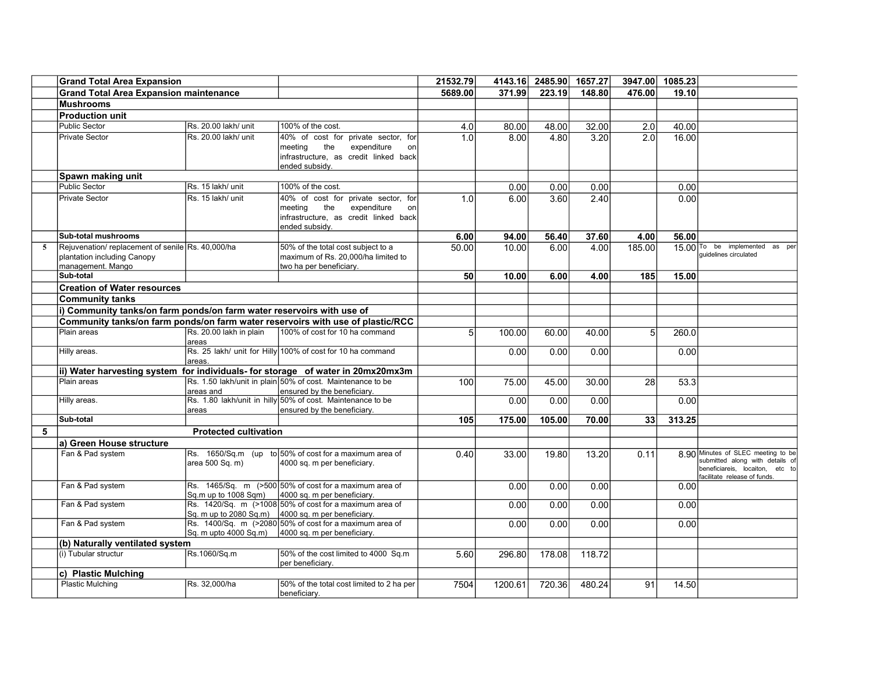|   | <b>Grand Total Area Expansion</b>                                     |                                  |                                                                                 | 21532.79 | 4143.16 | 2485.90 | 1657.27 | 3947.00        | 1085.23 |                                              |
|---|-----------------------------------------------------------------------|----------------------------------|---------------------------------------------------------------------------------|----------|---------|---------|---------|----------------|---------|----------------------------------------------|
|   | <b>Grand Total Area Expansion maintenance</b>                         |                                  |                                                                                 | 5689.00  | 371.99  | 223.19  | 148.80  | 476.00         | 19.10   |                                              |
|   | <b>Mushrooms</b>                                                      |                                  |                                                                                 |          |         |         |         |                |         |                                              |
|   | <b>Production unit</b>                                                |                                  |                                                                                 |          |         |         |         |                |         |                                              |
|   | <b>Public Sector</b>                                                  | Rs. 20.00 lakh/ unit             | 100% of the cost.                                                               | 4.0      | 80.00   | 48.00   | 32.00   | 2.0            | 40.00   |                                              |
|   | <b>Private Sector</b>                                                 | Rs. 20.00 lakh/ unit             | 40% of cost for private sector, for                                             | 1.0      | 8.00    | 4.80    | 3.20    | 2.0            | 16.00   |                                              |
|   |                                                                       |                                  | the<br>expenditure<br>meeting<br>on                                             |          |         |         |         |                |         |                                              |
|   |                                                                       |                                  | infrastructure, as credit linked back                                           |          |         |         |         |                |         |                                              |
|   |                                                                       |                                  | ended subsidy.                                                                  |          |         |         |         |                |         |                                              |
|   | Spawn making unit                                                     |                                  |                                                                                 |          |         |         |         |                |         |                                              |
|   | <b>Public Sector</b>                                                  | Rs. 15 lakh/ unit                | 100% of the cost.                                                               |          | 0.00    | 0.00    | 0.00    |                | 0.00    |                                              |
|   | <b>Private Sector</b>                                                 | Rs. 15 lakh/ unit                | 40% of cost for private sector, for<br>the<br>meeting<br>expenditure<br>on      | 1.0      | 6.00    | 3.60    | 2.40    |                | 0.00    |                                              |
|   |                                                                       |                                  | infrastructure, as credit linked back                                           |          |         |         |         |                |         |                                              |
|   |                                                                       |                                  | ended subsidy.                                                                  |          |         |         |         |                |         |                                              |
|   | <b>Sub-total mushrooms</b>                                            |                                  |                                                                                 | 6.00     | 94.00   | 56.40   | 37.60   | 4.00           | 56.00   |                                              |
| 5 | Rejuvenation/replacement of senile Rs. 40,000/ha                      |                                  | 50% of the total cost subject to a                                              | 50.00    | 10.00   | 6.00    | 4.00    | 185.00         |         | 15.00 <sup>To</sup> be implemented<br>as per |
|   | plantation including Canopy                                           |                                  | maximum of Rs. 20,000/ha limited to                                             |          |         |         |         |                |         | quidelines circulated                        |
|   | management. Mango<br>Sub-total                                        |                                  | two ha per beneficiary.                                                         |          |         |         |         |                |         |                                              |
|   |                                                                       |                                  |                                                                                 | 50       | 10.00   | 6.00    | 4.00    | 185            | 15.00   |                                              |
|   | <b>Creation of Water resources</b>                                    |                                  |                                                                                 |          |         |         |         |                |         |                                              |
|   | <b>Community tanks</b>                                                |                                  |                                                                                 |          |         |         |         |                |         |                                              |
|   | i) Community tanks/on farm ponds/on farm water reservoirs with use of |                                  |                                                                                 |          |         |         |         |                |         |                                              |
|   |                                                                       |                                  | Community tanks/on farm ponds/on farm water reservoirs with use of plastic/RCC  |          |         |         |         |                |         |                                              |
|   | Plain areas                                                           | Rs. 20.00 lakh in plain<br>areas | 100% of cost for 10 ha command                                                  | 5        | 100.00  | 60.00   | 40.00   | 5 <sup>1</sup> | 260.0   |                                              |
|   | Hilly areas.                                                          | areas                            | Rs. 25 lakh/ unit for Hilly 100% of cost for 10 ha command                      |          | 0.00    | 0.00    | 0.00    |                | 0.00    |                                              |
|   |                                                                       |                                  | ii) Water harvesting system for individuals- for storage of water in 20mx20mx3m |          |         |         |         |                |         |                                              |
|   | Plain areas                                                           |                                  | Rs. 1.50 lakh/unit in plain 50% of cost. Maintenance to be                      | 100      | 75.00   | 45.00   | 30.00   | 28             | 53.3    |                                              |
|   |                                                                       | areas and                        | ensured by the beneficiary.                                                     |          |         |         |         |                |         |                                              |
|   | Hilly areas.                                                          |                                  | Rs. 1.80 lakh/unit in hilly 50% of cost. Maintenance to be                      |          | 0.00    | 0.00    | 0.00    |                | 0.00    |                                              |
|   | Sub-total                                                             | areas                            | ensured by the beneficiary.                                                     | 105      |         |         |         | 33             | 313.25  |                                              |
| 5 |                                                                       |                                  |                                                                                 |          | 175.00  | 105.00  | 70.00   |                |         |                                              |
|   |                                                                       | <b>Protected cultivation</b>     |                                                                                 |          |         |         |         |                |         |                                              |
|   | a) Green House structure                                              |                                  | Rs. $1650/Sq.m$ (up to 50% of cost for a maximum area of                        |          |         |         |         |                |         | 8.90 Minutes of SLEC meeting to be           |
|   | Fan & Pad system                                                      | area 500 Sq. m)                  | 4000 sq. m per beneficiary.                                                     | 0.40     | 33.00   | 19.80   | 13.20   | 0.11           |         | submitted along with details of              |
|   |                                                                       |                                  |                                                                                 |          |         |         |         |                |         | beneficiareis, locaiton, etc to              |
|   | Fan & Pad system                                                      |                                  | Rs. 1465/Sq. m (>500 50% of cost for a maximum area of                          |          | 0.00    | 0.00    | 0.00    |                |         | facilitate release of funds.                 |
|   |                                                                       | Sq.m up to 1008 Sqm)             | 4000 sq. m per beneficiary.                                                     |          |         |         |         |                | 0.00    |                                              |
|   | Fan & Pad system                                                      |                                  | Rs. 1420/Sq. m (>1008 50% of cost for a maximum area of                         |          | 0.00    | 0.00    | 0.00    |                | 0.00    |                                              |
|   |                                                                       |                                  | Sq. m up to $2080$ Sq.m) $\vert$ 4000 sq. m per beneficiary.                    |          |         |         |         |                |         |                                              |
|   | Fan & Pad system                                                      |                                  | Rs. 1400/Sq. m (>2080 50% of cost for a maximum area of                         |          | 0.00    | 0.00    | 0.00    |                | 0.00    |                                              |
|   |                                                                       |                                  | $\vert$ Sq. m upto 4000 Sq.m) $\vert$ 4000 sq. m per beneficiary.               |          |         |         |         |                |         |                                              |
|   | (b) Naturally ventilated system                                       |                                  |                                                                                 |          |         |         |         |                |         |                                              |
|   | (i) Tubular structur                                                  | Rs.1060/Sq.m                     | 50% of the cost limited to 4000 Sq.m<br>per beneficiary.                        | 5.60     | 296.80  | 178.08  | 118.72  |                |         |                                              |
|   | c) Plastic Mulching                                                   |                                  |                                                                                 |          |         |         |         |                |         |                                              |
|   | <b>Plastic Mulching</b>                                               | Rs. 32,000/ha                    | 50% of the total cost limited to 2 ha per                                       | 7504     | 1200.61 | 720.36  | 480.24  | 91             | 14.50   |                                              |
|   |                                                                       |                                  | beneficiary.                                                                    |          |         |         |         |                |         |                                              |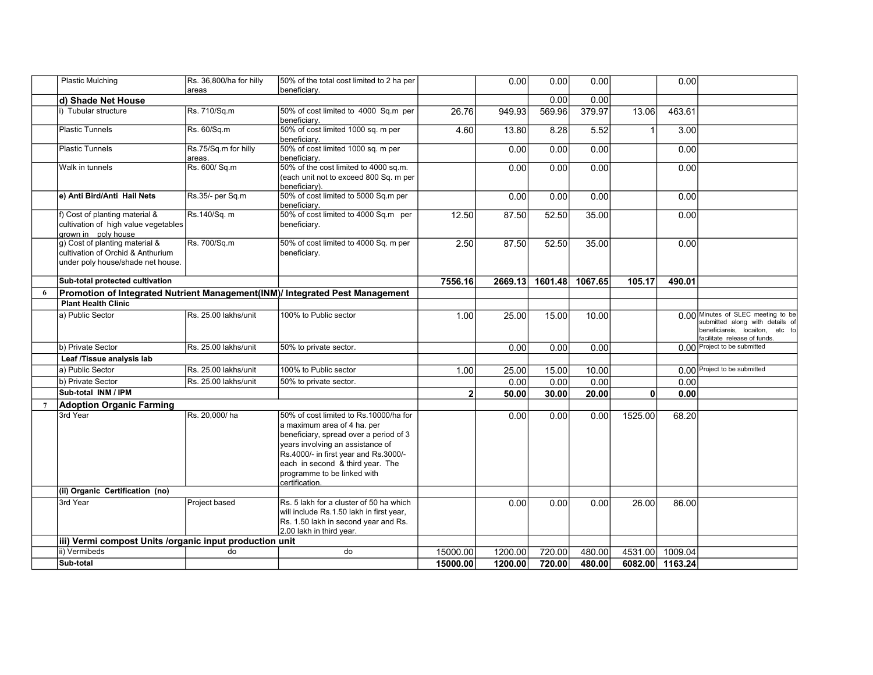|                 | Plastic Mulching                                                                                         | Rs. 36,800/ha for hilly        | 50% of the total cost limited to 2 ha per<br>beneficiary.                                                                                                                                                                                                                         |              | 0.00    | 0.00    | 0.00    |              | 0.00            |                                                                                                                                          |
|-----------------|----------------------------------------------------------------------------------------------------------|--------------------------------|-----------------------------------------------------------------------------------------------------------------------------------------------------------------------------------------------------------------------------------------------------------------------------------|--------------|---------|---------|---------|--------------|-----------------|------------------------------------------------------------------------------------------------------------------------------------------|
|                 | d) Shade Net House                                                                                       | areas                          |                                                                                                                                                                                                                                                                                   |              |         | 0.00    | 0.00    |              |                 |                                                                                                                                          |
|                 | i) Tubular structure                                                                                     | Rs. 710/Sq.m                   | 50% of cost limited to 4000 Sq.m per                                                                                                                                                                                                                                              | 26.76        | 949.93  | 569.96  | 379.97  | 13.06        | 463.61          |                                                                                                                                          |
|                 | <b>Plastic Tunnels</b>                                                                                   | Rs. 60/Sq.m                    | beneficiary.<br>50% of cost limited 1000 sq. m per<br>beneficiary.                                                                                                                                                                                                                | 4.60         | 13.80   | 8.28    | 5.52    | $\mathbf{1}$ | 3.00            |                                                                                                                                          |
|                 | <b>Plastic Tunnels</b>                                                                                   | Rs.75/Sq.m for hilly<br>areas. | 50% of cost limited 1000 sq. m per<br>beneficiarv.                                                                                                                                                                                                                                |              | 0.00    | 0.00    | 0.00    |              | 0.00            |                                                                                                                                          |
|                 | Walk in tunnels                                                                                          | Rs. 600/ Sq.m                  | 50% of the cost limited to 4000 sq.m.<br>(each unit not to exceed 800 Sq. m per<br>beneficiary).                                                                                                                                                                                  |              | 0.00    | 0.00    | 0.00    |              | 0.00            |                                                                                                                                          |
|                 | e) Anti Bird/Anti Hail Nets                                                                              | Rs.35/- per Sq.m               | 50% of cost limited to 5000 Sq.m per<br>beneficiary.                                                                                                                                                                                                                              |              | 0.00    | 0.00    | 0.00    |              | 0.00            |                                                                                                                                          |
|                 | f) Cost of planting material &<br>cultivation of high value vegetables<br>grown in poly house            | Rs.140/Sq. m                   | 50% of cost limited to 4000 Sq.m per<br>beneficiary.                                                                                                                                                                                                                              | 12.50        | 87.50   | 52.50   | 35.00   |              | 0.00            |                                                                                                                                          |
|                 | g) Cost of planting material &<br>cultivation of Orchid & Anthurium<br>under poly house/shade net house. | Rs. 700/Sq.m                   | 50% of cost limited to 4000 Sq. m per<br>beneficiary.                                                                                                                                                                                                                             | 2.50         | 87.50   | 52.50   | 35.00   |              | 0.00            |                                                                                                                                          |
|                 | Sub-total protected cultivation                                                                          |                                |                                                                                                                                                                                                                                                                                   | 7556.16      | 2669.13 | 1601.48 | 1067.65 | 105.17       | 490.01          |                                                                                                                                          |
| 6               |                                                                                                          |                                | Promotion of Integrated Nutrient Management(INM)/ Integrated Pest Management                                                                                                                                                                                                      |              |         |         |         |              |                 |                                                                                                                                          |
|                 | <b>Plant Health Clinic</b>                                                                               |                                |                                                                                                                                                                                                                                                                                   |              |         |         |         |              |                 |                                                                                                                                          |
|                 | a) Public Sector                                                                                         | Rs. 25.00 lakhs/unit           | 100% to Public sector                                                                                                                                                                                                                                                             | 1.00         | 25.00   | 15.00   | 10.00   |              |                 | 0.00 Minutes of SLEC meeting to be<br>submitted along with details of<br>beneficiareis, locaiton, etc to<br>facilitate release of funds. |
|                 | b) Private Sector                                                                                        | Rs. 25.00 lakhs/unit           | 50% to private sector.                                                                                                                                                                                                                                                            |              | 0.00    | 0.00    | 0.00    |              |                 | 0.00 Project to be submitted                                                                                                             |
|                 | Leaf /Tissue analysis lab                                                                                |                                |                                                                                                                                                                                                                                                                                   |              |         |         |         |              |                 |                                                                                                                                          |
|                 | a) Public Sector                                                                                         | Rs. 25.00 lakhs/unit           | 100% to Public sector                                                                                                                                                                                                                                                             | 1.00         | 25.00   | 15.00   | 10.00   |              |                 | 0.00 Project to be submitted                                                                                                             |
|                 | b) Private Sector                                                                                        | Rs. 25.00 lakhs/unit           | 50% to private sector.                                                                                                                                                                                                                                                            |              | 0.00    | 0.00    | 0.00    |              | 0.00            |                                                                                                                                          |
|                 | Sub-total INM / IPM                                                                                      |                                |                                                                                                                                                                                                                                                                                   | $\mathbf{2}$ | 50.00   | 30.00   | 20.00   | 0            | 0.00            |                                                                                                                                          |
| $7\phantom{.0}$ | <b>Adoption Organic Farming</b>                                                                          |                                |                                                                                                                                                                                                                                                                                   |              |         |         |         |              |                 |                                                                                                                                          |
|                 | 3rd Year                                                                                                 | Rs. 20,000/ha                  | 50% of cost limited to Rs.10000/ha for<br>a maximum area of 4 ha. per<br>beneficiary, spread over a period of 3<br>years involving an assistance of<br>Rs.4000/- in first year and Rs.3000/-<br>each in second & third year. The<br>programme to be linked with<br>certification. |              | 0.00    | 0.00    | 0.00    | 1525.00      | 68.20           |                                                                                                                                          |
|                 | (ii) Organic Certification (no)                                                                          |                                |                                                                                                                                                                                                                                                                                   |              |         |         |         |              |                 |                                                                                                                                          |
|                 | 3rd Year                                                                                                 | Project based                  | Rs. 5 lakh for a cluster of 50 ha which<br>will include Rs.1.50 lakh in first year,<br>Rs. 1.50 lakh in second year and Rs.<br>2.00 lakh in third year.                                                                                                                           |              | 0.00    | 0.00    | 0.00    | 26.00        | 86.00           |                                                                                                                                          |
|                 | iii) Vermi compost Units / organic input production unit                                                 |                                |                                                                                                                                                                                                                                                                                   |              |         |         |         |              |                 |                                                                                                                                          |
|                 | ii) Vermibeds                                                                                            | do                             | do                                                                                                                                                                                                                                                                                | 15000.00     | 1200.00 | 720.00  | 480.00  | 4531.00      | 1009.04         |                                                                                                                                          |
|                 | Sub-total                                                                                                |                                |                                                                                                                                                                                                                                                                                   | 15000.00     | 1200.00 | 720.00  | 480.00  |              | 6082.00 1163.24 |                                                                                                                                          |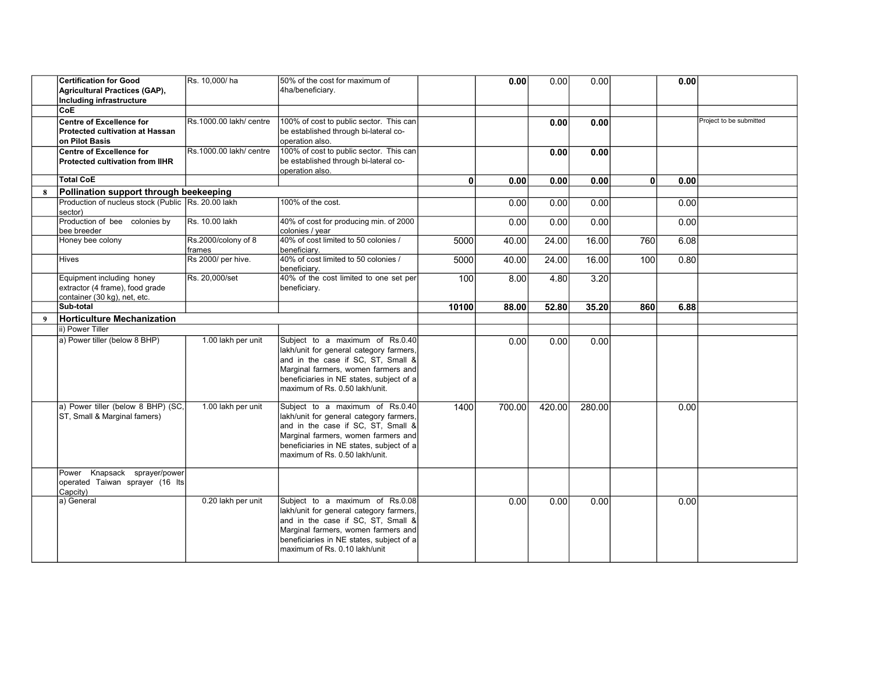|   | <b>Certification for Good</b><br><b>Agricultural Practices (GAP),</b><br>Including infrastructure | Rs. 10,000/ha                 | 50% of the cost for maximum of<br>4ha/beneficiary.                                                                                                                                                                                    |       | 0.00   | 0.00   | 0.00   |              | 0.00 |                         |
|---|---------------------------------------------------------------------------------------------------|-------------------------------|---------------------------------------------------------------------------------------------------------------------------------------------------------------------------------------------------------------------------------------|-------|--------|--------|--------|--------------|------|-------------------------|
|   | CoE                                                                                               |                               |                                                                                                                                                                                                                                       |       |        |        |        |              |      |                         |
|   | <b>Centre of Excellence for</b><br><b>Protected cultivation at Hassan</b><br>on Pilot Basis       | Rs.1000.00 lakh/ centre       | 100% of cost to public sector. This can<br>be established through bi-lateral co-<br>operation also.                                                                                                                                   |       |        | 0.00   | 0.00   |              |      | Project to be submitted |
|   | <b>Centre of Excellence for</b><br><b>Protected cultivation from IIHR</b>                         | Rs.1000.00 lakh/ centre       | 100% of cost to public sector. This can<br>be established through bi-lateral co-<br>operation also.                                                                                                                                   |       |        | 0.00   | 0.00   |              |      |                         |
|   | <b>Total CoE</b>                                                                                  |                               |                                                                                                                                                                                                                                       | 0     | 0.00   | 0.00   | 0.00   | $\mathbf{0}$ | 0.00 |                         |
| 8 | Pollination support through beekeeping                                                            |                               |                                                                                                                                                                                                                                       |       |        |        |        |              |      |                         |
|   | Production of nucleus stock (Public Rs. 20.00 lakh<br>sector)                                     |                               | 100% of the cost.                                                                                                                                                                                                                     |       | 0.00   | 0.00   | 0.00   |              | 0.00 |                         |
|   | Production of bee colonies by<br>bee breeder                                                      | Rs. 10.00 lakh                | 40% of cost for producing min. of 2000<br>colonies / year                                                                                                                                                                             |       | 0.00   | 0.00   | 0.00   |              | 0.00 |                         |
|   | Honey bee colony                                                                                  | Rs.2000/colony of 8<br>frames | 40% of cost limited to 50 colonies /<br>beneficiarv.                                                                                                                                                                                  | 5000  | 40.00  | 24.00  | 16.00  | 760          | 6.08 |                         |
|   | <b>Hives</b>                                                                                      | Rs 2000/ per hive.            | 40% of cost limited to 50 colonies /<br>beneficiarv.                                                                                                                                                                                  | 5000  | 40.00  | 24.00  | 16.00  | 100          | 0.80 |                         |
|   | Equipment including honey<br>extractor (4 frame), food grade<br>container (30 kg), net, etc.      | Rs. 20,000/set                | 40% of the cost limited to one set per<br>beneficiary.                                                                                                                                                                                | 100   | 8.00   | 4.80   | 3.20   |              |      |                         |
|   | Sub-total                                                                                         |                               |                                                                                                                                                                                                                                       | 10100 | 88.00  | 52.80  | 35.20  | 860          | 6.88 |                         |
| 9 | <b>Horticulture Mechanization</b>                                                                 |                               |                                                                                                                                                                                                                                       |       |        |        |        |              |      |                         |
|   | ii) Power Tiller                                                                                  |                               |                                                                                                                                                                                                                                       |       |        |        |        |              |      |                         |
|   | a) Power tiller (below 8 BHP)                                                                     | 1.00 lakh per unit            | Subject to a maximum of Rs.0.40<br>lakh/unit for general category farmers,<br>and in the case if SC, ST, Small &<br>Marginal farmers, women farmers and<br>beneficiaries in NE states, subject of a<br>maximum of Rs. 0.50 lakh/unit. |       | 0.00   | 0.00   | 0.00   |              |      |                         |
|   | a) Power tiller (below 8 BHP) (SC,<br>ST, Small & Marginal famers)                                | 1.00 lakh per unit            | Subject to a maximum of Rs.0.40<br>lakh/unit for general category farmers,<br>and in the case if SC, ST, Small &<br>Marginal farmers, women farmers and<br>beneficiaries in NE states, subject of a<br>maximum of Rs. 0.50 lakh/unit. | 1400  | 700.00 | 420.00 | 280.00 |              | 0.00 |                         |
|   | Power Knapsack sprayer/power<br>operated Taiwan sprayer (16 Its<br>Capcity)                       |                               |                                                                                                                                                                                                                                       |       |        |        |        |              |      |                         |
|   | a) General                                                                                        | 0.20 lakh per unit            | Subject to a maximum of Rs.0.08<br>lakh/unit for general category farmers,<br>and in the case if SC, ST, Small &<br>Marginal farmers, women farmers and<br>beneficiaries in NE states, subject of a<br>maximum of Rs. 0.10 lakh/unit  |       | 0.00   | 0.00   | 0.00   |              | 0.00 |                         |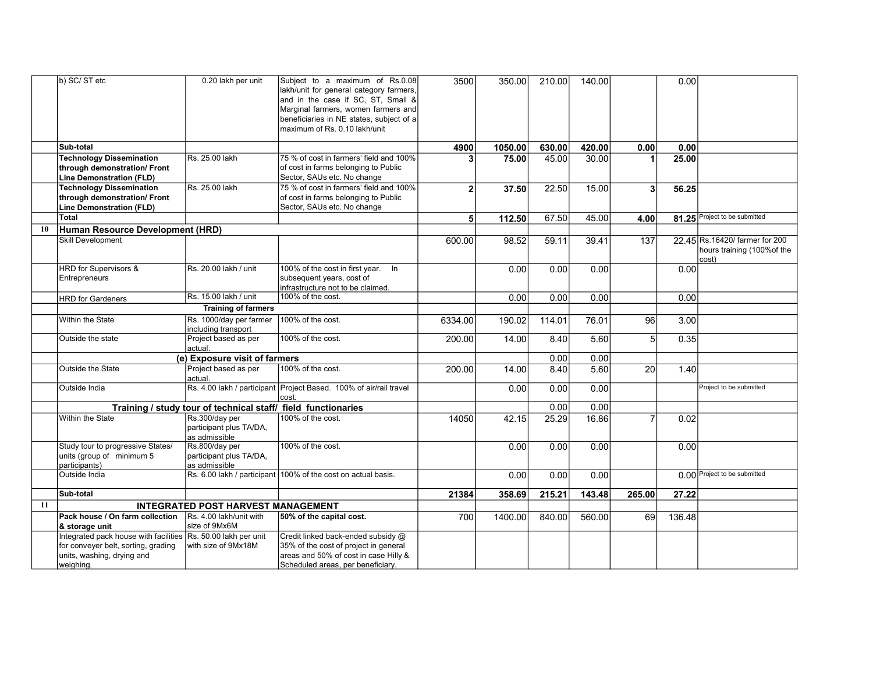|    | b) SC/ST etc                                                                                                                                    | 0.20 lakh per unit                                            | Subject to a maximum of Rs.0.08<br>lakh/unit for general category farmers,<br>and in the case if SC, ST, Small &<br>Marginal farmers, women farmers and<br>beneficiaries in NE states, subject of a<br>maximum of Rs. 0.10 lakh/unit | 3500           | 350.00  | 210.00 | 140.00 |                | 0.00   |                                                                        |
|----|-------------------------------------------------------------------------------------------------------------------------------------------------|---------------------------------------------------------------|--------------------------------------------------------------------------------------------------------------------------------------------------------------------------------------------------------------------------------------|----------------|---------|--------|--------|----------------|--------|------------------------------------------------------------------------|
|    | Sub-total                                                                                                                                       |                                                               |                                                                                                                                                                                                                                      | 4900           | 1050.00 | 630.00 | 420.00 | 0.00           | 0.00   |                                                                        |
|    | <b>Technology Dissemination</b><br>through demonstration/ Front<br>Line Demonstration (FLD)                                                     | Rs. 25.00 lakh                                                | 75 % of cost in farmers' field and 100%<br>of cost in farms belonging to Public<br>Sector, SAUs etc. No change                                                                                                                       |                | 75.00   | 45.00  | 30.00  |                | 25.00  |                                                                        |
|    | <b>Technology Dissemination</b><br>through demonstration/ Front<br><b>Line Demonstration (FLD)</b>                                              | Rs. 25.00 lakh                                                | 75 % of cost in farmers' field and 100%<br>of cost in farms belonging to Public<br>Sector, SAUs etc. No change                                                                                                                       | $\overline{2}$ | 37.50   | 22.50  | 15.00  | 3              | 56.25  |                                                                        |
|    | Total                                                                                                                                           |                                                               |                                                                                                                                                                                                                                      | 5 <sub>5</sub> | 112.50  | 67.50  | 45.00  | 4.00           |        | 81.25 Project to be submitted                                          |
| 10 | Human Resource Development (HRD)                                                                                                                |                                                               |                                                                                                                                                                                                                                      |                |         |        |        |                |        |                                                                        |
|    | <b>Skill Development</b>                                                                                                                        |                                                               |                                                                                                                                                                                                                                      | 600.00         | 98.52   | 59.11  | 39.41  | 137            |        | 22.45 Rs.16420/ farmer for 200<br>hours training (100% of the<br>cost) |
|    | HRD for Supervisors &<br>Entrepreneurs                                                                                                          | Rs. 20.00 lakh / unit                                         | 100% of the cost in first year. In<br>subsequent years, cost of<br>infrastructure not to be claimed.                                                                                                                                 |                | 0.00    | 0.00   | 0.00   |                | 0.00   |                                                                        |
|    | <b>HRD for Gardeners</b>                                                                                                                        | Rs. 15.00 lakh / unit                                         | 100% of the cost.                                                                                                                                                                                                                    |                | 0.00    | 0.00   | 0.00   |                | 0.00   |                                                                        |
|    |                                                                                                                                                 | <b>Training of farmers</b>                                    |                                                                                                                                                                                                                                      |                |         |        |        |                |        |                                                                        |
|    | Within the State                                                                                                                                | Rs. 1000/day per farmer<br>including transport                | 100% of the cost.                                                                                                                                                                                                                    | 6334.00        | 190.02  | 114.01 | 76.01  | 96             | 3.00   |                                                                        |
|    | Outside the state                                                                                                                               | Project based as per<br>actual.                               | 100% of the cost.                                                                                                                                                                                                                    | 200.00         | 14.00   | 8.40   | 5.60   | 5              | 0.35   |                                                                        |
|    |                                                                                                                                                 | (e) Exposure visit of farmers                                 |                                                                                                                                                                                                                                      |                |         | 0.00   | 0.00   |                |        |                                                                        |
|    | Outside the State                                                                                                                               | Project based as per<br>actual.                               | 100% of the cost.                                                                                                                                                                                                                    | 200.00         | 14.00   | 8.40   | 5.60   | 20             | 1.40   |                                                                        |
|    | Outside India                                                                                                                                   |                                                               | Rs. 4.00 lakh / participant Project Based. 100% of air/rail travel<br>cost.                                                                                                                                                          |                | 0.00    | 0.00   | 0.00   |                |        | Project to be submitted                                                |
|    |                                                                                                                                                 | Training / study tour of technical staff/ field functionaries |                                                                                                                                                                                                                                      |                |         | 0.00   | 0.00   |                |        |                                                                        |
|    | Within the State                                                                                                                                | Rs.300/day per<br>participant plus TA/DA,<br>as admissible    | 100% of the cost.                                                                                                                                                                                                                    | 14050          | 42.15   | 25.29  | 16.86  | $\overline{7}$ | 0.02   |                                                                        |
|    | Study tour to progressive States/<br>units (group of minimum 5<br>participants)                                                                 | Rs.800/day per<br>participant plus TA/DA,<br>as admissible    | 100% of the cost.                                                                                                                                                                                                                    |                | 0.00    | 0.00   | 0.00   |                | 0.00   |                                                                        |
|    | Outside India                                                                                                                                   |                                                               | Rs. 6.00 lakh / participant 100% of the cost on actual basis.                                                                                                                                                                        |                | 0.00    | 0.00   | 0.00   |                |        | 0.00 Project to be submitted                                           |
|    | Sub-total                                                                                                                                       |                                                               |                                                                                                                                                                                                                                      | 21384          | 358.69  | 215.21 | 143.48 | 265.00         | 27.22  |                                                                        |
| 11 |                                                                                                                                                 | <b>INTEGRATED POST HARVEST MANAGEMENT</b>                     |                                                                                                                                                                                                                                      |                |         |        |        |                |        |                                                                        |
|    | Pack house / On farm collection<br>& storage unit                                                                                               | Rs. 4.00 lakh/unit with<br>size of 9Mx6M                      | 50% of the capital cost.                                                                                                                                                                                                             | 700            | 1400.00 | 840.00 | 560.00 | 69             | 136.48 |                                                                        |
|    | Integrated pack house with facilities Rs. 50.00 lakh per unit<br>for conveyer belt, sorting, grading<br>units, washing, drying and<br>weighing. | with size of 9Mx18M                                           | Credit linked back-ended subsidy @<br>35% of the cost of project in general<br>areas and 50% of cost in case Hilly &<br>Scheduled areas, per beneficiary.                                                                            |                |         |        |        |                |        |                                                                        |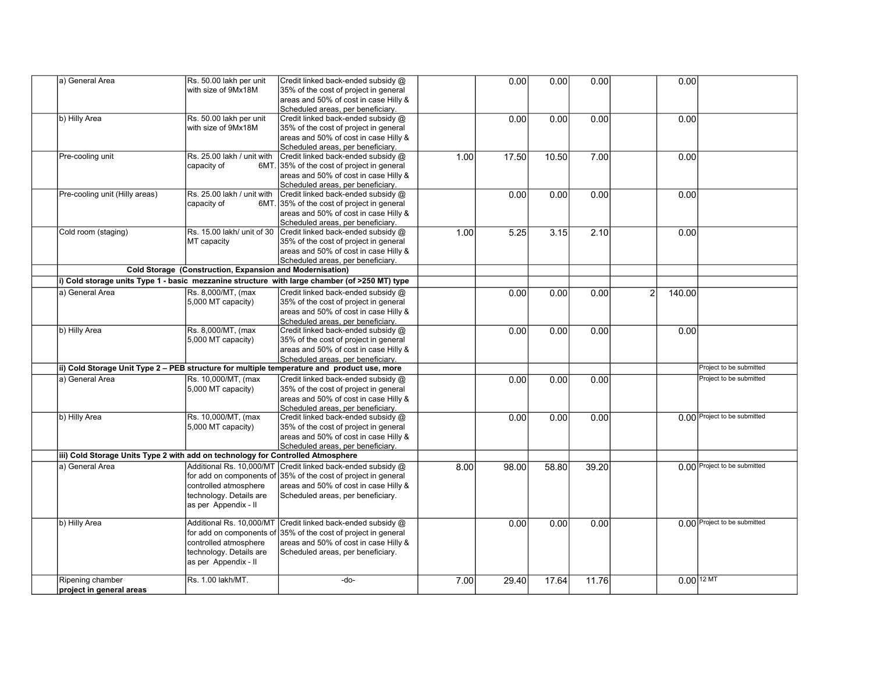| a) General Area                                                                             | Rs. 50.00 lakh per unit<br>with size of 9Mx18M                                                                                   | Credit linked back-ended subsidy @<br>35% of the cost of project in general<br>areas and 50% of cost in case Hilly &<br>Scheduled areas, per beneficiary.                          |      | 0.00  | 0.00  | 0.00  |   | 0.00                    |                              |
|---------------------------------------------------------------------------------------------|----------------------------------------------------------------------------------------------------------------------------------|------------------------------------------------------------------------------------------------------------------------------------------------------------------------------------|------|-------|-------|-------|---|-------------------------|------------------------------|
| b) Hilly Area                                                                               | Rs. 50.00 lakh per unit<br>with size of 9Mx18M                                                                                   | Credit linked back-ended subsidy @<br>35% of the cost of project in general<br>areas and 50% of cost in case Hilly &<br>Scheduled areas, per beneficiary.                          |      | 0.00  | 0.00  | 0.00  |   | 0.00                    |                              |
| Pre-cooling unit                                                                            | Rs. 25.00 lakh / unit with<br>capacity of<br>6MT.                                                                                | Credit linked back-ended subsidy @<br>35% of the cost of project in general<br>areas and 50% of cost in case Hilly &<br>Scheduled areas, per beneficiary.                          | 1.00 | 17.50 | 10.50 | 7.00  |   | 0.00                    |                              |
| Pre-cooling unit (Hilly areas)                                                              | Rs. 25.00 lakh / unit with<br>capacity of<br>6MT.                                                                                | Credit linked back-ended subsidy @<br>35% of the cost of project in general<br>areas and 50% of cost in case Hilly &<br>Scheduled areas, per beneficiary.                          |      | 0.00  | 0.00  | 0.00  |   | 0.00                    |                              |
| Cold room (staging)                                                                         | Rs. 15.00 lakh/ unit of 30<br>MT capacity                                                                                        | Credit linked back-ended subsidy @<br>35% of the cost of project in general<br>areas and 50% of cost in case Hilly &<br>Scheduled areas, per beneficiary.                          | 1.00 | 5.25  | 3.15  | 2.10  |   | 0.00                    |                              |
|                                                                                             | Cold Storage (Construction, Expansion and Modernisation)                                                                         |                                                                                                                                                                                    |      |       |       |       |   |                         |                              |
|                                                                                             |                                                                                                                                  | i) Cold storage units Type 1 - basic mezzanine structure with large chamber (of >250 MT) type                                                                                      |      |       |       |       |   |                         |                              |
| a) General Area                                                                             | Rs. 8,000/MT, (max<br>5,000 MT capacity)                                                                                         | Credit linked back-ended subsidy @<br>35% of the cost of project in general<br>areas and 50% of cost in case Hilly &<br>Scheduled areas, per beneficiary.                          |      | 0.00  | 0.00  | 0.00  | 2 | 140.00                  |                              |
| b) Hilly Area                                                                               | Rs. 8,000/MT, (max<br>5,000 MT capacity)                                                                                         | Credit linked back-ended subsidy @<br>35% of the cost of project in general<br>areas and 50% of cost in case Hilly &<br>Scheduled areas, per beneficiary.                          |      | 0.00  | 0.00  | 0.00  |   | 0.00                    |                              |
| ii) Cold Storage Unit Type 2 - PEB structure for multiple temperature and product use, more |                                                                                                                                  |                                                                                                                                                                                    |      |       |       |       |   |                         | Project to be submitted      |
| a) General Area                                                                             | Rs. 10,000/MT, (max<br>5,000 MT capacity)                                                                                        | Credit linked back-ended subsidy @<br>35% of the cost of project in general<br>areas and 50% of cost in case Hilly &<br>Scheduled areas, per beneficiary.                          |      | 0.00  | 0.00  | 0.00  |   |                         | Project to be submitted      |
| b) Hilly Area                                                                               | Rs. 10,000/MT, (max<br>5,000 MT capacity)                                                                                        | Credit linked back-ended subsidy @<br>35% of the cost of project in general<br>areas and 50% of cost in case Hilly &<br>Scheduled areas, per beneficiary.                          |      | 0.00  | 0.00  | 0.00  |   |                         | 0.00 Project to be submitted |
| iii) Cold Storage Units Type 2 with add on technology for Controlled Atmosphere             |                                                                                                                                  |                                                                                                                                                                                    |      |       |       |       |   |                         |                              |
| a) General Area                                                                             | Additional Rs. 10,000/MT<br>controlled atmosphere<br>technology. Details are<br>as per Appendix - II                             | Credit linked back-ended subsidy @<br>for add on components of 35% of the cost of project in general<br>areas and 50% of cost in case Hilly &<br>Scheduled areas, per beneficiary. | 8.00 | 98.00 | 58.80 | 39.20 |   |                         | 0.00 Project to be submitted |
| b) Hilly Area                                                                               | Additional Rs. 10,000/MT<br>for add on components of<br>controlled atmosphere<br>technology. Details are<br>as per Appendix - II | Credit linked back-ended subsidy @<br>35% of the cost of project in general<br>areas and 50% of cost in case Hilly &<br>Scheduled areas, per beneficiary.                          |      | 0.00  | 0.00  | 0.00  |   |                         | 0.00 Project to be submitted |
| Ripening chamber<br>project in general areas                                                | Rs. 1.00 lakh/MT.                                                                                                                | -do-                                                                                                                                                                               | 7.00 | 29.40 | 17.64 | 11.76 |   | $0.00$ <sup>12 MT</sup> |                              |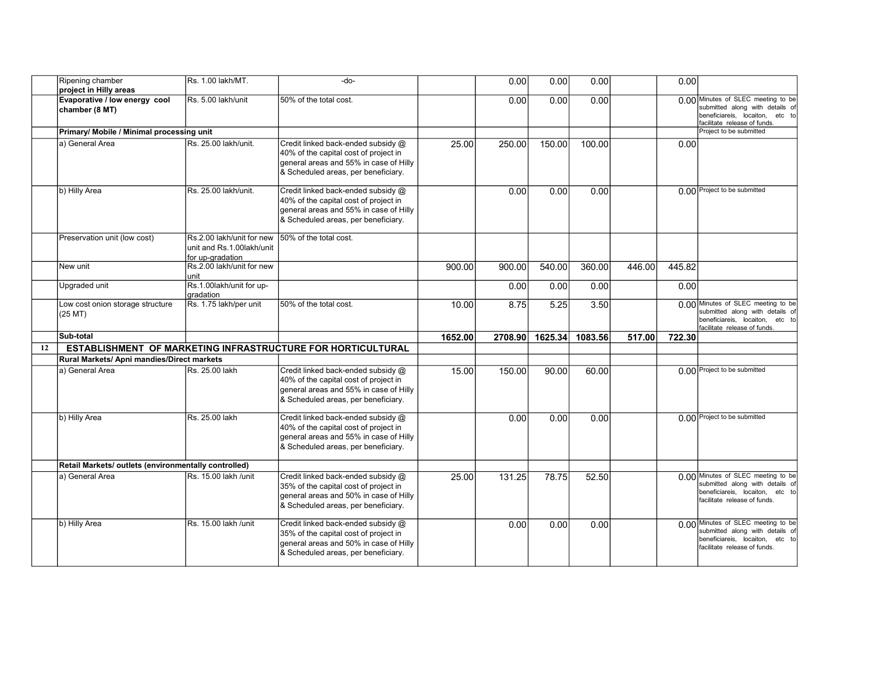|    | Ripening chamber<br>project in Hilly areas           | Rs. 1.00 lakh/MT.                                                          | -do-                                                                                                                                                         |         | 0.00    | 0.00    | 0.00    |        | 0.00   |                                                                                                                                          |
|----|------------------------------------------------------|----------------------------------------------------------------------------|--------------------------------------------------------------------------------------------------------------------------------------------------------------|---------|---------|---------|---------|--------|--------|------------------------------------------------------------------------------------------------------------------------------------------|
|    | Evaporative / low energy cool<br>chamber (8 MT)      | Rs. 5.00 lakh/unit                                                         | 50% of the total cost.                                                                                                                                       |         | 0.00    | 0.00    | 0.00    |        |        | 0.00 Minutes of SLEC meeting to be<br>submitted along with details of<br>beneficiareis, locaiton, etc to<br>facilitate release of funds. |
|    | Primary/ Mobile / Minimal processing unit            |                                                                            |                                                                                                                                                              |         |         |         |         |        |        | Project to be submitted                                                                                                                  |
|    | a) General Area                                      | Rs. 25.00 lakh/unit.                                                       | Credit linked back-ended subsidy @<br>40% of the capital cost of project in<br>general areas and 55% in case of Hilly<br>& Scheduled areas, per beneficiary. | 25.00   | 250.00  | 150.00  | 100.00  |        | 0.00   |                                                                                                                                          |
|    | b) Hilly Area                                        | Rs. 25.00 lakh/unit.                                                       | Credit linked back-ended subsidy @<br>40% of the capital cost of project in<br>general areas and 55% in case of Hilly<br>& Scheduled areas, per beneficiary. |         | 0.00    | 0.00    | 0.00    |        |        | 0.00 Project to be submitted                                                                                                             |
|    | Preservation unit (low cost)                         | Rs.2.00 lakh/unit for new<br>unit and Rs.1.00lakh/unit<br>for up-gradation | 50% of the total cost.                                                                                                                                       |         |         |         |         |        |        |                                                                                                                                          |
|    | New unit                                             | Rs.2.00 lakh/unit for new<br>unit                                          |                                                                                                                                                              | 900.00  | 900.00  | 540.00  | 360.00  | 446.00 | 445.82 |                                                                                                                                          |
|    | Upgraded unit                                        | Rs.1.00lakh/unit for up-<br>gradation                                      |                                                                                                                                                              |         | 0.00    | 0.00    | 0.00    |        | 0.00   |                                                                                                                                          |
|    | Low cost onion storage structure<br>(25 MT)          | Rs. 1.75 lakh/per unit                                                     | 50% of the total cost.                                                                                                                                       | 10.00   | 8.75    | 5.25    | 3.50    |        |        | n nn Minutes of SLEC meeting to be<br>submitted along with details of<br>beneficiareis, locaiton, etc to<br>facilitate release of funds. |
|    | Sub-total                                            |                                                                            |                                                                                                                                                              | 1652.00 | 2708.90 | 1625.34 | 1083.56 | 517.00 | 722.30 |                                                                                                                                          |
| 12 |                                                      |                                                                            | <b>ESTABLISHMENT OF MARKETING INFRASTRUCTURE FOR HORTICULTURAL</b>                                                                                           |         |         |         |         |        |        |                                                                                                                                          |
|    | Rural Markets/ Apni mandies/Direct markets           |                                                                            |                                                                                                                                                              |         |         |         |         |        |        |                                                                                                                                          |
|    | a) General Area                                      | Rs. 25.00 lakh                                                             | Credit linked back-ended subsidy @<br>40% of the capital cost of project in<br>general areas and 55% in case of Hilly<br>& Scheduled areas, per beneficiary. | 15.00   | 150.00  | 90.00   | 60.00   |        |        | 0.00 Project to be submitted                                                                                                             |
|    | b) Hilly Area                                        | Rs. 25.00 lakh                                                             | Credit linked back-ended subsidy @<br>40% of the capital cost of project in<br>general areas and 55% in case of Hilly<br>& Scheduled areas, per beneficiary. |         | 0.00    | 0.00    | 0.00    |        |        | 0.00 Project to be submitted                                                                                                             |
|    | Retail Markets/ outlets (environmentally controlled) |                                                                            |                                                                                                                                                              |         |         |         |         |        |        |                                                                                                                                          |
|    | a) General Area                                      | Rs. 15.00 lakh /unit                                                       | Credit linked back-ended subsidy @<br>35% of the capital cost of project in<br>general areas and 50% in case of Hilly                                        | 25.00   | 131.25  | 78.75   | 52.50   |        |        | n nn Minutes of SLEC meeting to be<br>submitted along with details of<br>beneficiareis, locaiton, etc to<br>facilitate release of funds. |
|    |                                                      |                                                                            | & Scheduled areas, per beneficiary.                                                                                                                          |         |         |         |         |        |        | 0.00 Minutes of SLEC meeting to be                                                                                                       |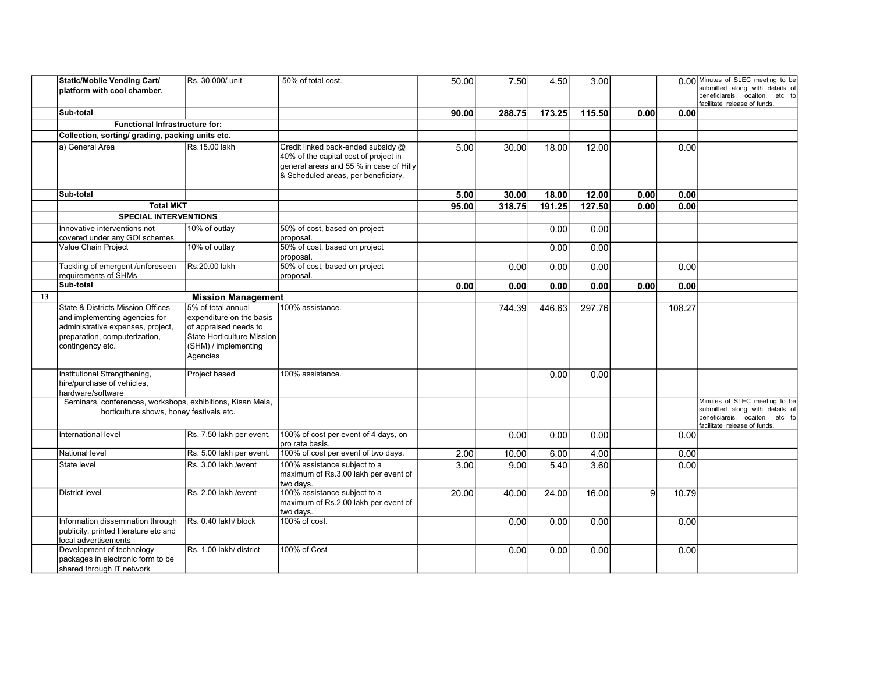|    | Static/Mobile Vending Cart/<br>$ $ platform with cool chamber.                                                                                               | Rs. 30,000/ unit                                                                                                                                 | 50% of total cost.                                                                                                                                            | 50.00 | 7.50   | 4.50   | 3.00   |                |        | 0.00 Minutes of SLEC meeting to be<br>submitted along with details of<br>beneficiareis, locaiton, etc to<br>facilitate release of funds. |
|----|--------------------------------------------------------------------------------------------------------------------------------------------------------------|--------------------------------------------------------------------------------------------------------------------------------------------------|---------------------------------------------------------------------------------------------------------------------------------------------------------------|-------|--------|--------|--------|----------------|--------|------------------------------------------------------------------------------------------------------------------------------------------|
|    | <b>Sub-total</b>                                                                                                                                             |                                                                                                                                                  |                                                                                                                                                               | 90.00 | 288.75 | 173.25 | 115.50 | 0.00           | 0.00   |                                                                                                                                          |
|    | <b>Functional Infrastructure for:</b>                                                                                                                        |                                                                                                                                                  |                                                                                                                                                               |       |        |        |        |                |        |                                                                                                                                          |
|    | Collection, sorting/ grading, packing units etc.                                                                                                             |                                                                                                                                                  |                                                                                                                                                               |       |        |        |        |                |        |                                                                                                                                          |
|    | la) General Area                                                                                                                                             | Rs.15.00 lakh                                                                                                                                    | Credit linked back-ended subsidy @<br>40% of the capital cost of project in<br>general areas and 55 % in case of Hilly<br>& Scheduled areas, per beneficiary. | 5.00  | 30.00  | 18.00  | 12.00  |                | 0.00   |                                                                                                                                          |
|    | Sub-total                                                                                                                                                    |                                                                                                                                                  |                                                                                                                                                               | 5.00  | 30.00  | 18.00  | 12.00  | 0.00           | 0.00   |                                                                                                                                          |
|    | <b>Total MKT</b>                                                                                                                                             |                                                                                                                                                  |                                                                                                                                                               | 95.00 | 318.75 | 191.25 | 127.50 | 0.00           | 0.00   |                                                                                                                                          |
|    | <b>SPECIAL INTERVENTIONS</b>                                                                                                                                 |                                                                                                                                                  |                                                                                                                                                               |       |        |        |        |                |        |                                                                                                                                          |
|    | Innovative interventions not<br>covered under any GOI schemes                                                                                                | 10% of outlay                                                                                                                                    | 50% of cost, based on project<br>proposal.                                                                                                                    |       |        | 0.00   | 0.00   |                |        |                                                                                                                                          |
|    | Value Chain Project                                                                                                                                          | 10% of outlay                                                                                                                                    | 50% of cost, based on project<br>proposal.                                                                                                                    |       |        | 0.00   | 0.00   |                |        |                                                                                                                                          |
|    | Tackling of emergent /unforeseen<br>requirements of SHMs                                                                                                     | Rs.20.00 lakh                                                                                                                                    | 50% of cost, based on project<br>proposal.                                                                                                                    |       | 0.00   | 0.00   | 0.00   |                | 0.00   |                                                                                                                                          |
|    | Sub-total                                                                                                                                                    |                                                                                                                                                  |                                                                                                                                                               | 0.00  | 0.00   | 0.00   | 0.00   | 0.00           | 0.00   |                                                                                                                                          |
| 13 |                                                                                                                                                              | <b>Mission Management</b>                                                                                                                        |                                                                                                                                                               |       |        |        |        |                |        |                                                                                                                                          |
|    | State & Districts Mission Offices<br>and implementing agencies for<br>administrative expenses, project,<br>preparation, computerization,<br>contingency etc. | 5% of total annual<br>expenditure on the basis<br>of appraised needs to<br><b>State Horticulture Mission</b><br>(SHM) / implementing<br>Agencies | 100% assistance.                                                                                                                                              |       | 744.39 | 446.63 | 297.76 |                | 108.27 |                                                                                                                                          |
|    | Institutional Strengthening,<br>hire/purchase of vehicles,<br>hardware/software                                                                              | Project based                                                                                                                                    | 100% assistance.                                                                                                                                              |       |        | 0.00   | 0.00   |                |        |                                                                                                                                          |
|    | Seminars, conferences, workshops, exhibitions, Kisan Mela,<br>horticulture shows, honey festivals etc.                                                       |                                                                                                                                                  |                                                                                                                                                               |       |        |        |        |                |        | Minutes of SLEC meeting to be<br>submitted along with details of<br>beneficiareis, locaiton, etc to<br>facilitate release of funds.      |
|    | International level                                                                                                                                          | Rs. 7.50 lakh per event.                                                                                                                         | 100% of cost per event of 4 days, on<br>pro rata basis.                                                                                                       |       | 0.00   | 0.00   | 0.00   |                | 0.00   |                                                                                                                                          |
|    | <b>National level</b>                                                                                                                                        | Rs. 5.00 lakh per event.                                                                                                                         | 100% of cost per event of two days.                                                                                                                           | 2.00  | 10.00  | 6.00   | 4.00   |                | 0.00   |                                                                                                                                          |
|    | State level                                                                                                                                                  | Rs. 3.00 lakh / event                                                                                                                            | 100% assistance subject to a<br>maximum of Rs.3.00 lakh per event of<br>two days.                                                                             | 3.00  | 9.00   | 5.40   | 3.60   |                | 0.00   |                                                                                                                                          |
|    | <b>District level</b>                                                                                                                                        | Rs. 2.00 lakh /event                                                                                                                             | 100% assistance subject to a<br>maximum of Rs.2.00 lakh per event of<br>two days.                                                                             | 20.00 | 40.00  | 24.00  | 16.00  | $\overline{9}$ | 10.79  |                                                                                                                                          |
|    | Information dissemination through<br>publicity, printed literature etc and<br>local advertisements                                                           | Rs. 0.40 lakh/ block                                                                                                                             | 100% of cost.                                                                                                                                                 |       | 0.00   | 0.00   | 0.00   |                | 0.00   |                                                                                                                                          |
|    | Development of technology<br>packages in electronic form to be<br>shared through IT network                                                                  | Rs. 1.00 lakh/ district                                                                                                                          | 100% of Cost                                                                                                                                                  |       | 0.00   | 0.00   | 0.00   |                | 0.00   |                                                                                                                                          |